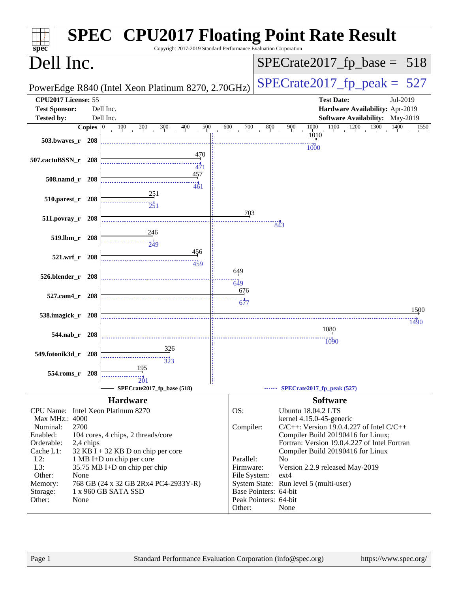| $spec^*$                                             |                    |           | Copyright 2017-2019 Standard Performance Evaluation Corporation |                           | <b>SPEC<sup>®</sup> CPU2017 Floating Point Rate Result</b>                |
|------------------------------------------------------|--------------------|-----------|-----------------------------------------------------------------|---------------------------|---------------------------------------------------------------------------|
| Dell Inc.                                            |                    |           |                                                                 |                           | $SPECrate2017_fp\_base = 518$                                             |
|                                                      |                    |           | PowerEdge R840 (Intel Xeon Platinum 8270, 2.70GHz)              |                           | $SPECTate2017$ _fp_peak = 527                                             |
| CPU2017 License: 55                                  |                    |           |                                                                 |                           | <b>Test Date:</b><br>Jul-2019                                             |
| <b>Test Sponsor:</b>                                 |                    | Dell Inc. |                                                                 |                           | Hardware Availability: Apr-2019                                           |
| <b>Tested by:</b>                                    |                    | Dell Inc. |                                                                 |                           | Software Availability: May-2019                                           |
|                                                      | Copies $ 0\rangle$ |           | 300<br>400<br>100<br>200<br>500                                 | 600<br>700<br>800         | 1100<br>$1200$ $1300$<br>1000<br>1400<br>900<br>1550                      |
| 503.bwaves_r 208                                     |                    |           |                                                                 |                           | 1010                                                                      |
|                                                      |                    |           |                                                                 |                           | 1000                                                                      |
| 507.cactuBSSN_r 208                                  |                    |           | 470                                                             |                           |                                                                           |
|                                                      |                    |           | 471                                                             |                           |                                                                           |
| 508.namd_r 208                                       |                    |           | 457                                                             |                           |                                                                           |
|                                                      |                    |           | 461                                                             |                           |                                                                           |
| 510.parest_r 208                                     |                    |           | 251                                                             |                           |                                                                           |
|                                                      |                    |           | $\frac{1}{251}$                                                 |                           |                                                                           |
| 511.povray_r 208                                     |                    |           |                                                                 | 703                       |                                                                           |
|                                                      |                    |           |                                                                 |                           | 843                                                                       |
| 519.lbm_r 208                                        |                    |           | $\frac{246}{5}$<br>$\frac{1}{249}$                              |                           |                                                                           |
|                                                      |                    |           | 456                                                             |                           |                                                                           |
| 521.wrf_r 208                                        |                    |           |                                                                 |                           |                                                                           |
|                                                      |                    |           | 459                                                             | 649                       |                                                                           |
| 526.blender_r 208                                    |                    |           |                                                                 |                           |                                                                           |
|                                                      |                    |           |                                                                 | 649                       |                                                                           |
| 527.cam4 r 208                                       |                    |           |                                                                 | 676                       |                                                                           |
|                                                      |                    |           |                                                                 | 677                       | 1500                                                                      |
| 538.imagick_r 208                                    |                    |           |                                                                 |                           |                                                                           |
|                                                      |                    |           |                                                                 |                           | 1490<br>1080                                                              |
| 544.nab r 208                                        |                    |           |                                                                 |                           |                                                                           |
|                                                      |                    |           | 326                                                             |                           | 1090                                                                      |
| 549.fotonik3d_r 208                                  |                    |           |                                                                 |                           |                                                                           |
|                                                      |                    |           | 323<br>195                                                      |                           |                                                                           |
| 554.roms_r 208                                       |                    |           |                                                                 |                           |                                                                           |
|                                                      |                    |           | 201<br>SPECrate2017_fp_base (518)                               |                           | SPECrate2017_fp_peak (527)                                                |
|                                                      |                    |           |                                                                 |                           |                                                                           |
|                                                      |                    |           | <b>Hardware</b>                                                 |                           | <b>Software</b>                                                           |
| CPU Name: Intel Xeon Platinum 8270<br>Max MHz.: 4000 |                    |           |                                                                 | OS:                       | <b>Ubuntu 18.04.2 LTS</b>                                                 |
| Nominal:                                             | 2700               |           |                                                                 | Compiler:                 | kernel 4.15.0-45-generic<br>$C/C++$ : Version 19.0.4.227 of Intel $C/C++$ |
| Enabled:                                             |                    |           | 104 cores, 4 chips, 2 threads/core                              |                           | Compiler Build 20190416 for Linux;                                        |
| Orderable:                                           | 2,4 chips          |           |                                                                 |                           | Fortran: Version 19.0.4.227 of Intel Fortran                              |
| Cache L1:                                            |                    |           | $32$ KB I + 32 KB D on chip per core                            |                           | Compiler Build 20190416 for Linux                                         |
| $L2$ :                                               |                    |           | 1 MB I+D on chip per core                                       | Parallel:                 | N <sub>o</sub>                                                            |
| L3:<br>Other:                                        | None               |           | 35.75 MB I+D on chip per chip                                   | Firmware:<br>File System: | Version 2.2.9 released May-2019<br>ext4                                   |
| Memory:                                              |                    |           | 768 GB (24 x 32 GB 2Rx4 PC4-2933Y-R)                            |                           | System State: Run level 5 (multi-user)                                    |
| Storage:                                             |                    |           | 1 x 960 GB SATA SSD                                             | Base Pointers: 64-bit     |                                                                           |
| Other:                                               | None               |           |                                                                 | Peak Pointers: 64-bit     |                                                                           |
|                                                      |                    |           |                                                                 | Other:                    | None                                                                      |
|                                                      |                    |           |                                                                 |                           |                                                                           |
|                                                      |                    |           |                                                                 |                           |                                                                           |
|                                                      |                    |           |                                                                 |                           |                                                                           |
|                                                      |                    |           |                                                                 |                           |                                                                           |
| Page 1                                               |                    |           | Standard Performance Evaluation Corporation (info@spec.org)     |                           | https://www.spec.org/                                                     |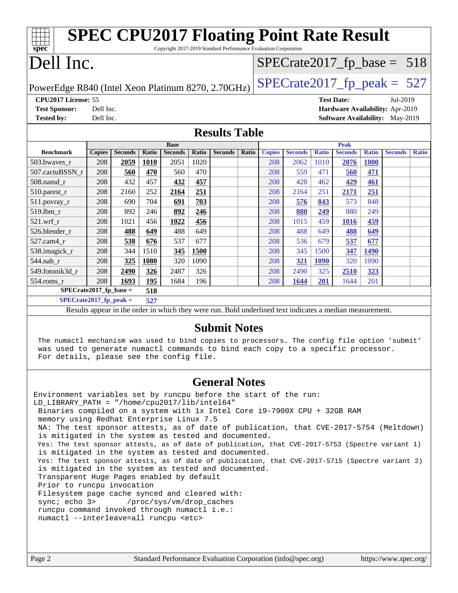| <b>SPEC CPU2017 Floating Point Rate Result</b>                                      |                                                                  |                |              |                |       |                      |       |               |                                                                                                          |              |                                        |              |                |              |
|-------------------------------------------------------------------------------------|------------------------------------------------------------------|----------------|--------------|----------------|-------|----------------------|-------|---------------|----------------------------------------------------------------------------------------------------------|--------------|----------------------------------------|--------------|----------------|--------------|
| Copyright 2017-2019 Standard Performance Evaluation Corporation<br>spec             |                                                                  |                |              |                |       |                      |       |               |                                                                                                          |              |                                        |              |                |              |
| Dell Inc.<br>$SPECrate2017_fp\_base = 518$                                          |                                                                  |                |              |                |       |                      |       |               |                                                                                                          |              |                                        |              |                |              |
| $SPECTate2017$ _fp_peak = 527<br>PowerEdge R840 (Intel Xeon Platinum 8270, 2.70GHz) |                                                                  |                |              |                |       |                      |       |               |                                                                                                          |              |                                        |              |                |              |
|                                                                                     | CPU <sub>2017</sub> License: 55<br><b>Test Date:</b><br>Jul-2019 |                |              |                |       |                      |       |               |                                                                                                          |              |                                        |              |                |              |
| <b>Test Sponsor:</b>                                                                | Dell Inc.                                                        |                |              |                |       |                      |       |               |                                                                                                          |              | Hardware Availability: Apr-2019        |              |                |              |
| <b>Tested by:</b>                                                                   | Dell Inc.                                                        |                |              |                |       |                      |       |               |                                                                                                          |              | <b>Software Availability:</b> May-2019 |              |                |              |
|                                                                                     |                                                                  |                |              |                |       | <b>Results Table</b> |       |               |                                                                                                          |              |                                        |              |                |              |
|                                                                                     |                                                                  |                |              | <b>Base</b>    |       |                      |       |               |                                                                                                          |              | <b>Peak</b>                            |              |                |              |
| <b>Benchmark</b>                                                                    | <b>Copies</b>                                                    | <b>Seconds</b> | <b>Ratio</b> | <b>Seconds</b> | Ratio | <b>Seconds</b>       | Ratio | <b>Copies</b> | <b>Seconds</b>                                                                                           | <b>Ratio</b> | <b>Seconds</b>                         | <b>Ratio</b> | <b>Seconds</b> | <b>Ratio</b> |
| 503.bwaves_r                                                                        | 208                                                              | 2059           | 1010         | 2051           | 1020  |                      |       | 208           | 2062                                                                                                     | 1010         | 2076                                   | <b>1000</b>  |                |              |
| 507.cactuBSSN r                                                                     | 208                                                              | 560            | 470          | 560            | 470   |                      |       | 208           | 559                                                                                                      | 471          | 560                                    | 471          |                |              |
| $508$ .namd $r$                                                                     | 208                                                              | 432            | 457          | 432            | 457   |                      |       | 208           | 428                                                                                                      | 462          | 429                                    | 461          |                |              |
| 510.parest_r                                                                        | 208                                                              | 2160           | 252          | 2164           | 251   |                      |       | 208           | 2164                                                                                                     | 251          | 2171                                   | 251          |                |              |
| 511.povray_r                                                                        | 208                                                              | 690            | 704          | 691            | 703   |                      |       | 208           | 576                                                                                                      | 843          | 573                                    | 848          |                |              |
| 519.1bm r                                                                           | 208                                                              | 892            | 246          | 892            | 246   |                      |       | 208           | 880                                                                                                      | 249          | 880                                    | 249          |                |              |
| $521.wrf_r$                                                                         | 208                                                              | 1021           | 456          | 1022           | 456   |                      |       | 208           | 1015                                                                                                     | 459          | 1016                                   | 459          |                |              |
| 526.blender_r                                                                       | 208                                                              | 488            | 649          | 488            | 649   |                      |       | 208           | 488                                                                                                      | 649          | 488                                    | 649          |                |              |
| 527.cam4_r                                                                          | 208                                                              | 538            | 676          | 537            | 677   |                      |       | 208           | 536                                                                                                      | 679          | 537                                    | 677          |                |              |
| 538.imagick_r                                                                       | 208                                                              | 344            | 1510         | 345            | 1500  |                      |       | 208           | 345                                                                                                      | 1500         | 347                                    | 1490         |                |              |
| 544.nab r                                                                           | 208                                                              | 325            | 1080         | 320            | 1090  |                      |       | 208           | 321                                                                                                      | <b>1090</b>  | 320                                    | 1090         |                |              |
| 549.fotonik3d r                                                                     | 208                                                              | 2490           | 326          | 2487           | 326   |                      |       | 208           | 2490                                                                                                     | 325          | 2510                                   | 323          |                |              |
| 554.roms r                                                                          | 208                                                              | 1693           | 195          | 1684           | 196   |                      |       | 208           | 1644                                                                                                     | 201          | 1644                                   | 201          |                |              |
| $SPECrate2017_fp\_base =$                                                           |                                                                  |                | 518          |                |       |                      |       |               |                                                                                                          |              |                                        |              |                |              |
| $SPECrate2017_fp\_peak =$                                                           |                                                                  |                | 527          |                |       |                      |       |               |                                                                                                          |              |                                        |              |                |              |
|                                                                                     |                                                                  |                |              |                |       |                      |       |               | Results appear in the order in which they were run. Bold underlined text indicates a median measurement. |              |                                        |              |                |              |
|                                                                                     |                                                                  |                |              |                |       |                      |       |               |                                                                                                          |              |                                        |              |                |              |

#### **[Submit Notes](http://www.spec.org/auto/cpu2017/Docs/result-fields.html#SubmitNotes)**

 The numactl mechanism was used to bind copies to processors. The config file option 'submit' was used to generate numactl commands to bind each copy to a specific processor. For details, please see the config file.

#### **[General Notes](http://www.spec.org/auto/cpu2017/Docs/result-fields.html#GeneralNotes)**

Environment variables set by runcpu before the start of the run: LD\_LIBRARY\_PATH = "/home/cpu2017/lib/intel64" Binaries compiled on a system with 1x Intel Core i9-7900X CPU + 32GB RAM memory using Redhat Enterprise Linux 7.5 NA: The test sponsor attests, as of date of publication, that CVE-2017-5754 (Meltdown) is mitigated in the system as tested and documented. Yes: The test sponsor attests, as of date of publication, that CVE-2017-5753 (Spectre variant 1) is mitigated in the system as tested and documented. Yes: The test sponsor attests, as of date of publication, that CVE-2017-5715 (Spectre variant 2) is mitigated in the system as tested and documented. Transparent Huge Pages enabled by default Prior to runcpu invocation Filesystem page cache synced and cleared with: sync; echo 3> /proc/sys/vm/drop\_caches runcpu command invoked through numactl i.e.: numactl --interleave=all runcpu <etc>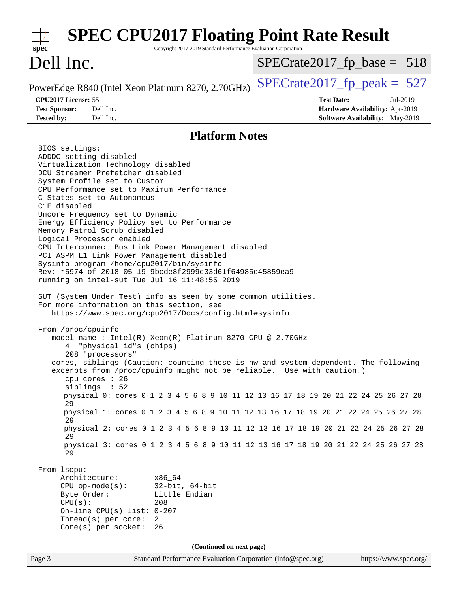| <b>SPEC CPU2017 Floating Point Rate Result</b><br>Copyright 2017-2019 Standard Performance Evaluation Corporation<br>$spec^*$                                                                                                                                                                                                                                                                                                                                                                                                                                                                                                                                                                                                                                                                                                                                                                                                                                                                                                                                                                                                                                                                                                                                                                                                                                                                                                                                                                                                                                                                                                                                                                                                                                                                                  |                                                                                                            |  |  |  |  |
|----------------------------------------------------------------------------------------------------------------------------------------------------------------------------------------------------------------------------------------------------------------------------------------------------------------------------------------------------------------------------------------------------------------------------------------------------------------------------------------------------------------------------------------------------------------------------------------------------------------------------------------------------------------------------------------------------------------------------------------------------------------------------------------------------------------------------------------------------------------------------------------------------------------------------------------------------------------------------------------------------------------------------------------------------------------------------------------------------------------------------------------------------------------------------------------------------------------------------------------------------------------------------------------------------------------------------------------------------------------------------------------------------------------------------------------------------------------------------------------------------------------------------------------------------------------------------------------------------------------------------------------------------------------------------------------------------------------------------------------------------------------------------------------------------------------|------------------------------------------------------------------------------------------------------------|--|--|--|--|
| Dell Inc.                                                                                                                                                                                                                                                                                                                                                                                                                                                                                                                                                                                                                                                                                                                                                                                                                                                                                                                                                                                                                                                                                                                                                                                                                                                                                                                                                                                                                                                                                                                                                                                                                                                                                                                                                                                                      | $SPECrate2017_fp\_base = 518$                                                                              |  |  |  |  |
| PowerEdge R840 (Intel Xeon Platinum 8270, 2.70GHz)                                                                                                                                                                                                                                                                                                                                                                                                                                                                                                                                                                                                                                                                                                                                                                                                                                                                                                                                                                                                                                                                                                                                                                                                                                                                                                                                                                                                                                                                                                                                                                                                                                                                                                                                                             | $SPECrate2017_fp\_peak = 527$                                                                              |  |  |  |  |
| CPU2017 License: 55<br>Dell Inc.<br><b>Test Sponsor:</b><br>Dell Inc.<br><b>Tested by:</b>                                                                                                                                                                                                                                                                                                                                                                                                                                                                                                                                                                                                                                                                                                                                                                                                                                                                                                                                                                                                                                                                                                                                                                                                                                                                                                                                                                                                                                                                                                                                                                                                                                                                                                                     | <b>Test Date:</b><br>Jul-2019<br><b>Hardware Availability: Apr-2019</b><br>Software Availability: May-2019 |  |  |  |  |
| <b>Platform Notes</b>                                                                                                                                                                                                                                                                                                                                                                                                                                                                                                                                                                                                                                                                                                                                                                                                                                                                                                                                                                                                                                                                                                                                                                                                                                                                                                                                                                                                                                                                                                                                                                                                                                                                                                                                                                                          |                                                                                                            |  |  |  |  |
| BIOS settings:<br>ADDDC setting disabled<br>Virtualization Technology disabled<br>DCU Streamer Prefetcher disabled<br>System Profile set to Custom<br>CPU Performance set to Maximum Performance<br>C States set to Autonomous<br>C1E disabled<br>Uncore Frequency set to Dynamic<br>Energy Efficiency Policy set to Performance<br>Memory Patrol Scrub disabled<br>Logical Processor enabled<br>CPU Interconnect Bus Link Power Management disabled<br>PCI ASPM L1 Link Power Management disabled<br>Sysinfo program /home/cpu2017/bin/sysinfo<br>Rev: r5974 of 2018-05-19 9bcde8f2999c33d61f64985e45859ea9<br>running on intel-sut Tue Jul 16 11:48:55 2019<br>SUT (System Under Test) info as seen by some common utilities.<br>For more information on this section, see<br>https://www.spec.org/cpu2017/Docs/config.html#sysinfo<br>From /proc/cpuinfo<br>model name: $Intel(R)$ Xeon $(R)$ Platinum 8270 CPU @ 2.70GHz<br>"physical id"s (chips)<br>4<br>208 "processors"<br>cores, siblings (Caution: counting these is hw and system dependent. The following<br>excerpts from /proc/cpuinfo might not be reliable. Use with caution.)<br>cpu cores : 26<br>siblings : 52<br>physical 0: cores 0 1 2 3 4 5 6 8 9 10 11 12 13 16 17 18 19 20 21 22 24 25 26 27 28<br>2.9<br>physical 1: cores 0 1 2 3 4 5 6 8 9 10 11 12 13 16 17 18 19 20 21 22 24 25 26 27 28<br>29<br>physical 2: cores 0 1 2 3 4 5 6 8 9 10 11 12 13 16 17 18 19 20 21 22 24 25 26 27 28<br>29<br>physical 3: cores 0 1 2 3 4 5 6 8 9 10 11 12 13 16 17 18 19 20 21 22 24 25 26 27 28<br>29<br>From 1scpu:<br>Architecture:<br>x86_64<br>$32$ -bit, $64$ -bit<br>$CPU$ op-mode( $s$ ):<br>Little Endian<br>Byte Order:<br>CPU(s):<br>208<br>On-line CPU(s) list: $0-207$<br>Thread(s) per core:<br>2<br>26<br>$Core(s)$ per socket: |                                                                                                            |  |  |  |  |
| (Continued on next page)                                                                                                                                                                                                                                                                                                                                                                                                                                                                                                                                                                                                                                                                                                                                                                                                                                                                                                                                                                                                                                                                                                                                                                                                                                                                                                                                                                                                                                                                                                                                                                                                                                                                                                                                                                                       |                                                                                                            |  |  |  |  |
| Page 3<br>Standard Performance Evaluation Corporation (info@spec.org)                                                                                                                                                                                                                                                                                                                                                                                                                                                                                                                                                                                                                                                                                                                                                                                                                                                                                                                                                                                                                                                                                                                                                                                                                                                                                                                                                                                                                                                                                                                                                                                                                                                                                                                                          | https://www.spec.org/                                                                                      |  |  |  |  |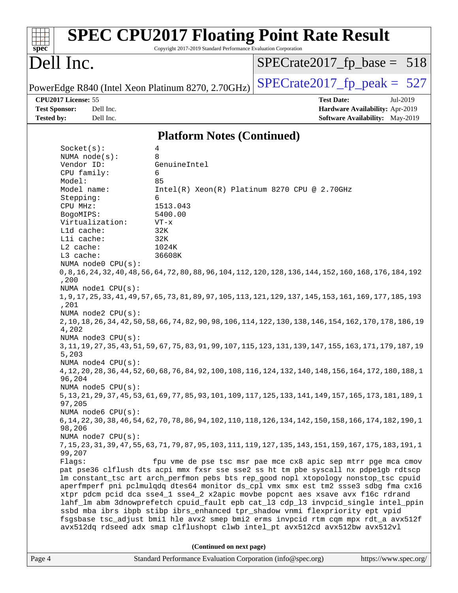| $spec^*$                                  |                                                                                                                                                                                        |                                                                                                                                                                | Copyright 2017-2019 Standard Performance Evaluation Corporation                  | <b>SPEC CPU2017 Floating Point Rate Result</b>                                                                                                                                                                                                                                                                                                                                                                                                                                                                                                                                                                                                                                                                          |          |  |  |  |
|-------------------------------------------|----------------------------------------------------------------------------------------------------------------------------------------------------------------------------------------|----------------------------------------------------------------------------------------------------------------------------------------------------------------|----------------------------------------------------------------------------------|-------------------------------------------------------------------------------------------------------------------------------------------------------------------------------------------------------------------------------------------------------------------------------------------------------------------------------------------------------------------------------------------------------------------------------------------------------------------------------------------------------------------------------------------------------------------------------------------------------------------------------------------------------------------------------------------------------------------------|----------|--|--|--|
| Dell Inc.                                 |                                                                                                                                                                                        |                                                                                                                                                                |                                                                                  | $SPECrate2017_fp\_base = 518$                                                                                                                                                                                                                                                                                                                                                                                                                                                                                                                                                                                                                                                                                           |          |  |  |  |
|                                           |                                                                                                                                                                                        |                                                                                                                                                                | PowerEdge R840 (Intel Xeon Platinum 8270, 2.70GHz)                               | $SPECrate2017fr peak = 527$                                                                                                                                                                                                                                                                                                                                                                                                                                                                                                                                                                                                                                                                                             |          |  |  |  |
| <b>Test Sponsor:</b><br><b>Tested by:</b> | CPU2017 License: 55                                                                                                                                                                    | Dell Inc.<br>Dell Inc.                                                                                                                                         |                                                                                  | <b>Test Date:</b><br>Hardware Availability: Apr-2019<br><b>Software Availability:</b> May-2019                                                                                                                                                                                                                                                                                                                                                                                                                                                                                                                                                                                                                          | Jul-2019 |  |  |  |
|                                           | <b>Platform Notes (Continued)</b>                                                                                                                                                      |                                                                                                                                                                |                                                                                  |                                                                                                                                                                                                                                                                                                                                                                                                                                                                                                                                                                                                                                                                                                                         |          |  |  |  |
|                                           | Socket(s):                                                                                                                                                                             |                                                                                                                                                                | 4                                                                                |                                                                                                                                                                                                                                                                                                                                                                                                                                                                                                                                                                                                                                                                                                                         |          |  |  |  |
|                                           | CPU family:<br>Model:<br>Model name:<br>Stepping:<br>CPU MHz:<br>BogoMIPS:<br>Lld cache:<br>Lli cache:<br>L2 cache:<br>L3 cache:<br>,200<br>,201<br>4,202<br>5,203<br>96,204<br>97,205 | Virtualization:<br>NUMA node0 CPU(s):<br>NUMA nodel CPU(s):<br>NUMA $node2$ $CPU(s)$ :<br>NUMA node3 CPU(s):<br>NUMA $node4$ CPU $(s)$ :<br>NUMA node5 CPU(s): | 6<br>85<br>6<br>1513.043<br>5400.00<br>$VT - x$<br>32K<br>32K<br>1024K<br>36608K | Intel(R) Xeon(R) Platinum 8270 CPU @ 2.70GHz<br>0,8,16,176,176,184,192 (120,128,136,144,152,160,164,172,128,104,152,160,168,176,184,192<br>1, 9, 17, 25, 33, 41, 49, 57, 65, 73, 81, 89, 97, 105, 113, 121, 129, 137, 145, 153, 161, 169, 177, 185, 193<br>2, 10, 18, 26, 34, 42, 50, 58, 66, 74, 82, 90, 98, 106, 114, 122, 130, 138, 146, 154, 162, 170, 178, 186, 19<br>3, 11, 19, 27, 35, 43, 51, 59, 67, 75, 83, 91, 99, 107, 115, 123, 131, 139, 147, 155, 163, 171, 179, 187, 19<br>4, 12, 20, 28, 36, 44, 52, 60, 68, 76, 84, 92, 100, 108, 116, 124, 132, 140, 148, 156, 164, 172, 180, 188, 1<br>5, 13, 21, 29, 37, 45, 53, 61, 69, 77, 85, 93, 101, 109, 117, 125, 133, 141, 149, 157, 165, 173, 181, 189, 1 |          |  |  |  |
|                                           | 98,206                                                                                                                                                                                 | NUMA node6 CPU(s):<br>NUMA node7 CPU(s):                                                                                                                       |                                                                                  | 6, 14, 22, 30, 38, 46, 54, 62, 70, 78, 86, 94, 102, 110, 118, 126, 134, 142, 150, 158, 166, 174, 182, 190, 1                                                                                                                                                                                                                                                                                                                                                                                                                                                                                                                                                                                                            |          |  |  |  |
|                                           | 99,207<br>Flags:                                                                                                                                                                       |                                                                                                                                                                |                                                                                  | 7, 15, 23, 31, 39, 47, 55, 63, 71, 79, 87, 95, 103, 111, 119, 127, 135, 143, 151, 159, 167, 175, 183, 191, 1<br>fpu vme de pse tsc msr pae mce cx8 apic sep mtrr pge mca cmov<br>pat pse36 clflush dts acpi mmx fxsr sse sse2 ss ht tm pbe syscall nx pdpe1gb rdtscp<br>lm constant_tsc art arch_perfmon pebs bts rep_good nopl xtopology nonstop_tsc cpuid<br>aperfmperf pni pclmulqdq dtes64 monitor ds_cpl vmx smx est tm2 ssse3 sdbg fma cx16<br>xtpr pdcm pcid dca sse4_1 sse4_2 x2apic movbe popcnt aes xsave avx f16c rdrand<br>lahf_lm abm 3dnowprefetch cpuid_fault epb cat_13 cdp_13 invpcid_single intel_ppin<br>ssbd mba ibrs ibpb stibp ibrs_enhanced tpr_shadow vnmi flexpriority ept vpid                |          |  |  |  |
|                                           |                                                                                                                                                                                        |                                                                                                                                                                |                                                                                  | fsgsbase tsc_adjust bmil hle avx2 smep bmi2 erms invpcid rtm cqm mpx rdt_a avx512f<br>avx512dq rdseed adx smap clflushopt clwb intel_pt avx512cd avx512bw avx512vl                                                                                                                                                                                                                                                                                                                                                                                                                                                                                                                                                      |          |  |  |  |
|                                           |                                                                                                                                                                                        |                                                                                                                                                                | (Continued on next page)                                                         |                                                                                                                                                                                                                                                                                                                                                                                                                                                                                                                                                                                                                                                                                                                         |          |  |  |  |
| Page 4                                    |                                                                                                                                                                                        |                                                                                                                                                                | Standard Performance Evaluation Corporation (info@spec.org)                      | https://www.spec.org/                                                                                                                                                                                                                                                                                                                                                                                                                                                                                                                                                                                                                                                                                                   |          |  |  |  |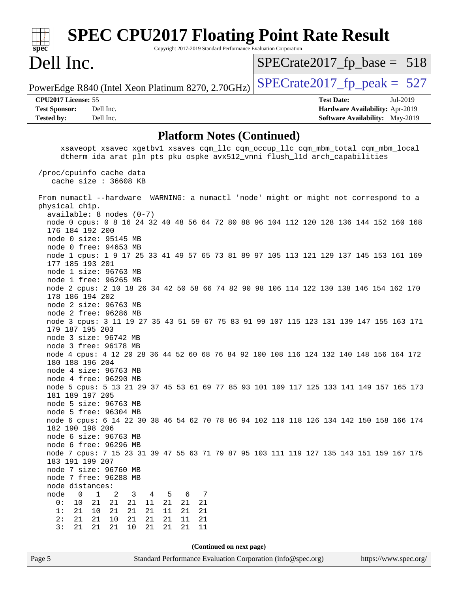| Spec                       | <b>SPEC CPU2017 Floating Point Rate Result</b><br>Copyright 2017-2019 Standard Performance Evaluation Corporation |                                        |            |
|----------------------------|-------------------------------------------------------------------------------------------------------------------|----------------------------------------|------------|
| Dell Inc.                  |                                                                                                                   | $SPECrate2017_fp\_base = 518$          |            |
|                            | PowerEdge R840 (Intel Xeon Platinum 8270, 2.70GHz)                                                                | $SPECrate2017_fp\_peak = 527$          |            |
| <b>CPU2017 License: 55</b> |                                                                                                                   | <b>Test Date:</b>                      | $Ju1-2019$ |
| <b>Test Sponsor:</b>       | Dell Inc.                                                                                                         | Hardware Availability: Apr-2019        |            |
| <b>Tested by:</b>          | Dell Inc.                                                                                                         | <b>Software Availability:</b> May-2019 |            |
|                            |                                                                                                                   |                                        |            |

## **[Platform Notes \(Continued\)](http://www.spec.org/auto/cpu2017/Docs/result-fields.html#PlatformNotes)**

| xsaveopt xsavec xgetbvl xsaves cqm_llc cqm_occup_llc cqm_mbm_total cqm_mbm_local<br>dtherm ida arat pln pts pku ospke avx512_vnni flush_lld arch_capabilities |                       |
|---------------------------------------------------------------------------------------------------------------------------------------------------------------|-----------------------|
| /proc/cpuinfo cache data<br>cache size : 36608 KB                                                                                                             |                       |
| From numactl --hardware WARNING: a numactl 'node' might or might not correspond to a<br>physical chip.                                                        |                       |
| $available: 8 nodes (0-7)$                                                                                                                                    |                       |
| node 0 cpus: 0 8 16 24 32 40 48 56 64 72 80 88 96 104 112 120 128 136 144 152 160 168                                                                         |                       |
| 176 184 192 200                                                                                                                                               |                       |
| node 0 size: 95145 MB                                                                                                                                         |                       |
| node 0 free: 94653 MB                                                                                                                                         |                       |
| node 1 cpus: 1 9 17 25 33 41 49 57 65 73 81 89 97 105 113 121 129 137 145 153 161 169                                                                         |                       |
| 177 185 193 201                                                                                                                                               |                       |
| node 1 size: 96763 MB                                                                                                                                         |                       |
| node 1 free: 96265 MB                                                                                                                                         |                       |
| node 2 cpus: 2 10 18 26 34 42 50 58 66 74 82 90 98 106 114 122 130 138 146 154 162 170<br>178 186 194 202                                                     |                       |
| node 2 size: 96763 MB                                                                                                                                         |                       |
| node 2 free: 96286 MB                                                                                                                                         |                       |
| node 3 cpus: 3 11 19 27 35 43 51 59 67 75 83 91 99 107 115 123 131 139 147 155 163 171                                                                        |                       |
| 179 187 195 203                                                                                                                                               |                       |
| node 3 size: 96742 MB                                                                                                                                         |                       |
| node 3 free: 96178 MB                                                                                                                                         |                       |
| node 4 cpus: 4 12 20 28 36 44 52 60 68 76 84 92 100 108 116 124 132 140 148 156 164 172                                                                       |                       |
| 180 188 196 204                                                                                                                                               |                       |
| node 4 size: 96763 MB<br>node 4 free: 96290 MB                                                                                                                |                       |
| node 5 cpus: 5 13 21 29 37 45 53 61 69 77 85 93 101 109 117 125 133 141 149 157 165 173                                                                       |                       |
| 181 189 197 205                                                                                                                                               |                       |
| node 5 size: 96763 MB                                                                                                                                         |                       |
| node 5 free: 96304 MB                                                                                                                                         |                       |
| node 6 cpus: 6 14 22 30 38 46 54 62 70 78 86 94 102 110 118 126 134 142 150 158 166 174                                                                       |                       |
| 182 190 198 206                                                                                                                                               |                       |
| node 6 size: 96763 MB                                                                                                                                         |                       |
| node 6 free: 96296 MB                                                                                                                                         |                       |
| node 7 cpus: 7 15 23 31 39 47 55 63 71 79 87 95 103 111 119 127 135 143 151 159 167 175                                                                       |                       |
| 183 191 199 207<br>node 7 size: 96760 MB                                                                                                                      |                       |
| node 7 free: 96288 MB                                                                                                                                         |                       |
| node distances:                                                                                                                                               |                       |
| node<br>0<br>$\mathbf{1}$<br>3<br>6<br>7<br>2<br>4<br>5                                                                                                       |                       |
| 0:<br>$10$<br>21<br>21<br>$2\sqrt{1}$<br>21<br>11<br>21<br>21                                                                                                 |                       |
| 21<br>21<br>21<br>21<br>11<br>21<br>21<br>1:<br>10                                                                                                            |                       |
| 21<br>21<br>10<br>21<br>21<br>21<br>11<br>21<br>2:                                                                                                            |                       |
| 21<br>21<br>11<br>3:<br>21<br>21<br>10<br>21<br>21                                                                                                            |                       |
|                                                                                                                                                               |                       |
| (Continued on next page)                                                                                                                                      |                       |
| Standard Performance Evaluation Corporation (info@spec.org)<br>Page 5                                                                                         | https://www.spec.org/ |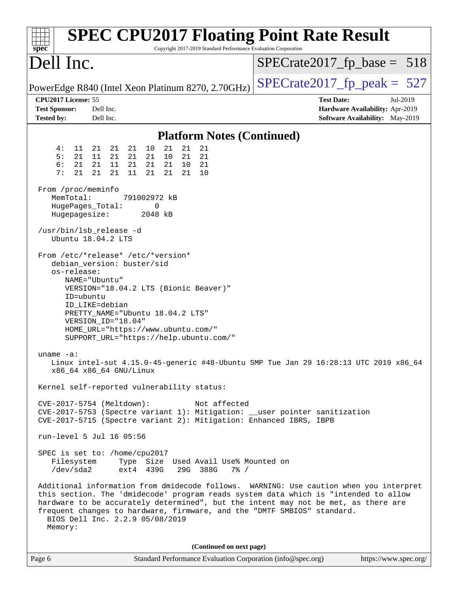| <b>SPEC CPU2017 Floating Point Rate Result</b><br>Copyright 2017-2019 Standard Performance Evaluation Corporation<br>$spec^*$                                                                                                                                                                                                                                                                                                                                                                                                                                                                                                                                                                                                                                                                                                                                                                                                                                                                                                                                                                                                                                                                                                                                                                                                                                                                                                                     |                                                                                                            |
|---------------------------------------------------------------------------------------------------------------------------------------------------------------------------------------------------------------------------------------------------------------------------------------------------------------------------------------------------------------------------------------------------------------------------------------------------------------------------------------------------------------------------------------------------------------------------------------------------------------------------------------------------------------------------------------------------------------------------------------------------------------------------------------------------------------------------------------------------------------------------------------------------------------------------------------------------------------------------------------------------------------------------------------------------------------------------------------------------------------------------------------------------------------------------------------------------------------------------------------------------------------------------------------------------------------------------------------------------------------------------------------------------------------------------------------------------|------------------------------------------------------------------------------------------------------------|
| Dell Inc.                                                                                                                                                                                                                                                                                                                                                                                                                                                                                                                                                                                                                                                                                                                                                                                                                                                                                                                                                                                                                                                                                                                                                                                                                                                                                                                                                                                                                                         | $SPECrate2017_fp\_base = 518$                                                                              |
| PowerEdge R840 (Intel Xeon Platinum 8270, 2.70GHz)                                                                                                                                                                                                                                                                                                                                                                                                                                                                                                                                                                                                                                                                                                                                                                                                                                                                                                                                                                                                                                                                                                                                                                                                                                                                                                                                                                                                | $SPECrate2017_fp\_peak = 527$                                                                              |
| CPU2017 License: 55<br><b>Test Sponsor:</b><br>Dell Inc.<br><b>Tested by:</b><br>Dell Inc.                                                                                                                                                                                                                                                                                                                                                                                                                                                                                                                                                                                                                                                                                                                                                                                                                                                                                                                                                                                                                                                                                                                                                                                                                                                                                                                                                        | <b>Test Date:</b><br>Jul-2019<br>Hardware Availability: Apr-2019<br><b>Software Availability:</b> May-2019 |
| <b>Platform Notes (Continued)</b>                                                                                                                                                                                                                                                                                                                                                                                                                                                                                                                                                                                                                                                                                                                                                                                                                                                                                                                                                                                                                                                                                                                                                                                                                                                                                                                                                                                                                 |                                                                                                            |
| 10<br>21<br>21<br>21<br>21<br>21<br>4 :<br>11<br>21<br>5:<br>21<br>11<br>21<br>21<br>21<br>21<br>21<br>10<br>6:<br>21<br>21 11<br>21<br>21<br>21<br>10<br>21<br>7:<br>21<br>21<br>21<br>21<br>11<br>21<br>21<br>10<br>From /proc/meminfo<br>MemTotal:<br>791002972 kB<br>HugePages_Total:<br>0<br>Hugepagesize:<br>2048 kB<br>/usr/bin/lsb_release -d<br>Ubuntu 18.04.2 LTS<br>From /etc/*release* /etc/*version*<br>debian_version: buster/sid<br>os-release:<br>NAME="Ubuntu"<br>VERSION="18.04.2 LTS (Bionic Beaver)"<br>ID=ubuntu<br>ID_LIKE=debian<br>PRETTY_NAME="Ubuntu 18.04.2 LTS"<br>VERSION_ID="18.04"<br>HOME_URL="https://www.ubuntu.com/"<br>SUPPORT_URL="https://help.ubuntu.com/"<br>uname $-a$ :<br>Linux intel-sut 4.15.0-45-generic #48-Ubuntu SMP Tue Jan 29 16:28:13 UTC 2019 x86_64<br>x86_64 x86_64 GNU/Linux<br>Kernel self-reported vulnerability status:<br>CVE-2017-5754 (Meltdown):<br>Not affected<br>CVE-2017-5753 (Spectre variant 1): Mitigation: __user pointer sanitization<br>CVE-2017-5715 (Spectre variant 2): Mitigation: Enhanced IBRS, IBPB<br>run-level 5 Jul 16 05:56<br>SPEC is set to: /home/cpu2017<br>Filesystem<br>Type Size Used Avail Use% Mounted on<br>ext4 439G<br>29G 388G<br>/dev/sda2<br>$7\frac{8}{9}$ /<br>Additional information from dmidecode follows. WARNING: Use caution when you interpret<br>this section. The 'dmidecode' program reads system data which is "intended to allow |                                                                                                            |
| hardware to be accurately determined", but the intent may not be met, as there are<br>frequent changes to hardware, firmware, and the "DMTF SMBIOS" standard.<br>BIOS Dell Inc. 2.2.9 05/08/2019<br>Memory:                                                                                                                                                                                                                                                                                                                                                                                                                                                                                                                                                                                                                                                                                                                                                                                                                                                                                                                                                                                                                                                                                                                                                                                                                                       |                                                                                                            |
| (Continued on next page)                                                                                                                                                                                                                                                                                                                                                                                                                                                                                                                                                                                                                                                                                                                                                                                                                                                                                                                                                                                                                                                                                                                                                                                                                                                                                                                                                                                                                          |                                                                                                            |
| Page 6<br>Standard Performance Evaluation Corporation (info@spec.org)                                                                                                                                                                                                                                                                                                                                                                                                                                                                                                                                                                                                                                                                                                                                                                                                                                                                                                                                                                                                                                                                                                                                                                                                                                                                                                                                                                             | https://www.spec.org/                                                                                      |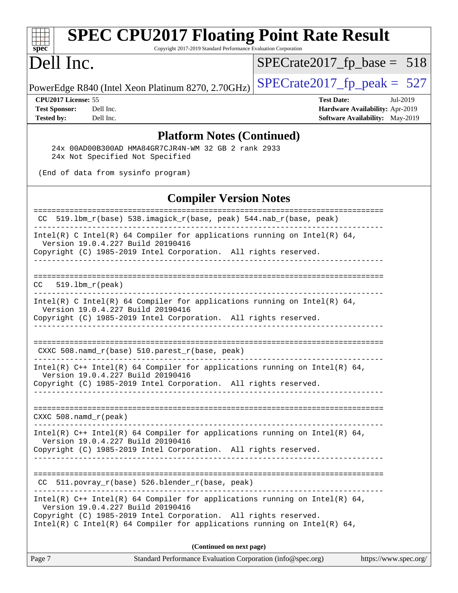| <b>SPEC CPU2017 Floating Point Rate Result</b><br>Copyright 2017-2019 Standard Performance Evaluation Corporation<br>spec <sup>®</sup>                                                                                                                           |                                        |
|------------------------------------------------------------------------------------------------------------------------------------------------------------------------------------------------------------------------------------------------------------------|----------------------------------------|
| Dell Inc.                                                                                                                                                                                                                                                        | $SPECrate2017_fp\_base = 518$          |
| PowerEdge R840 (Intel Xeon Platinum 8270, 2.70GHz)                                                                                                                                                                                                               | $SPECTate2017$ _fp_peak = 527          |
| CPU2017 License: 55                                                                                                                                                                                                                                              | <b>Test Date:</b><br>Jul-2019          |
| <b>Test Sponsor:</b><br>Dell Inc.                                                                                                                                                                                                                                | Hardware Availability: Apr-2019        |
| <b>Tested by:</b><br>Dell Inc.                                                                                                                                                                                                                                   | <b>Software Availability:</b> May-2019 |
| <b>Platform Notes (Continued)</b><br>24x 00AD00B300AD HMA84GR7CJR4N-WM 32 GB 2 rank 2933                                                                                                                                                                         |                                        |
| 24x Not Specified Not Specified                                                                                                                                                                                                                                  |                                        |
| (End of data from sysinfo program)                                                                                                                                                                                                                               |                                        |
| <b>Compiler Version Notes</b>                                                                                                                                                                                                                                    |                                        |
| 519.1bm_r(base) 538.imagick_r(base, peak) 544.nab_r(base, peak)                                                                                                                                                                                                  |                                        |
| Intel(R) C Intel(R) 64 Compiler for applications running on Intel(R) 64,<br>Version 19.0.4.227 Build 20190416                                                                                                                                                    |                                        |
| Copyright (C) 1985-2019 Intel Corporation. All rights reserved.                                                                                                                                                                                                  |                                        |
| $519.1bm_r(peak)$<br>CC.                                                                                                                                                                                                                                         |                                        |
| $Intel(R)$ C Intel(R) 64 Compiler for applications running on Intel(R) 64,<br>Version 19.0.4.227 Build 20190416<br>Copyright (C) 1985-2019 Intel Corporation. All rights reserved.                                                                               |                                        |
|                                                                                                                                                                                                                                                                  |                                        |
| $CXXC 508.namd_r(base) 510.parest_r(base, peak)$                                                                                                                                                                                                                 |                                        |
| Intel(R) $C++$ Intel(R) 64 Compiler for applications running on Intel(R) 64,<br>Version 19.0.4.227 Build 20190416<br>Copyright (C) 1985-2019 Intel Corporation. All rights reserved.                                                                             |                                        |
|                                                                                                                                                                                                                                                                  |                                        |
| CXXC $508.namd_r(peak)$                                                                                                                                                                                                                                          |                                        |
| Intel(R) $C++$ Intel(R) 64 Compiler for applications running on Intel(R) 64,<br>Version 19.0.4.227 Build 20190416<br>Copyright (C) 1985-2019 Intel Corporation. All rights reserved.                                                                             |                                        |
|                                                                                                                                                                                                                                                                  |                                        |
| CC 511.povray_r(base) 526.blender_r(base, peak)                                                                                                                                                                                                                  |                                        |
| Intel(R) $C++$ Intel(R) 64 Compiler for applications running on Intel(R) 64,<br>Version 19.0.4.227 Build 20190416<br>Copyright (C) 1985-2019 Intel Corporation. All rights reserved.<br>Intel(R) C Intel(R) 64 Compiler for applications running on Intel(R) 64, |                                        |
| (Continued on next page)                                                                                                                                                                                                                                         |                                        |
| Page 7<br>Standard Performance Evaluation Corporation (info@spec.org)                                                                                                                                                                                            | https://www.spec.org/                  |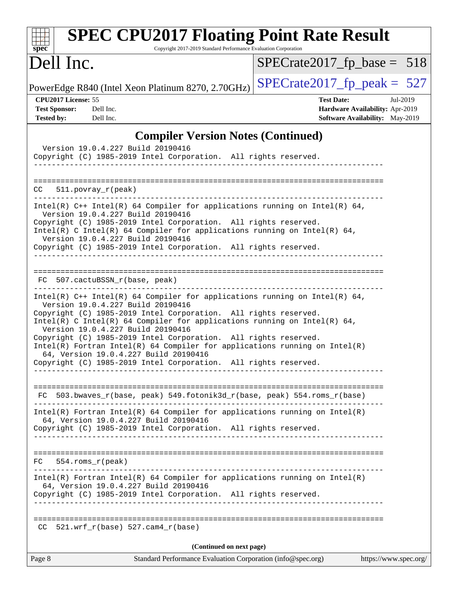| <b>SPEC CPU2017 Floating Point Rate Result</b><br>Copyright 2017-2019 Standard Performance Evaluation Corporation<br>$spec^*$                                                                                                                                                                                                                                                                                                                                                                                                                                        |                                                                                                     |
|----------------------------------------------------------------------------------------------------------------------------------------------------------------------------------------------------------------------------------------------------------------------------------------------------------------------------------------------------------------------------------------------------------------------------------------------------------------------------------------------------------------------------------------------------------------------|-----------------------------------------------------------------------------------------------------|
| Dell Inc.                                                                                                                                                                                                                                                                                                                                                                                                                                                                                                                                                            | $SPECrate2017_fp\_base = 518$                                                                       |
| PowerEdge R840 (Intel Xeon Platinum 8270, 2.70GHz)                                                                                                                                                                                                                                                                                                                                                                                                                                                                                                                   | $SPECrate2017_fp\_peak = 527$                                                                       |
| CPU2017 License: 55<br><b>Test Sponsor:</b><br>Dell Inc.<br><b>Tested by:</b><br>Dell Inc.                                                                                                                                                                                                                                                                                                                                                                                                                                                                           | <b>Test Date:</b><br>Jul-2019<br>Hardware Availability: Apr-2019<br>Software Availability: May-2019 |
| <b>Compiler Version Notes (Continued)</b>                                                                                                                                                                                                                                                                                                                                                                                                                                                                                                                            |                                                                                                     |
| Version 19.0.4.227 Build 20190416<br>Copyright (C) 1985-2019 Intel Corporation. All rights reserved.<br>---------------------                                                                                                                                                                                                                                                                                                                                                                                                                                        |                                                                                                     |
| CC<br>$511.$ povray r(peak)                                                                                                                                                                                                                                                                                                                                                                                                                                                                                                                                          |                                                                                                     |
| Intel(R) $C++$ Intel(R) 64 Compiler for applications running on Intel(R) 64,<br>Version 19.0.4.227 Build 20190416<br>Copyright (C) 1985-2019 Intel Corporation. All rights reserved.<br>Intel(R) C Intel(R) 64 Compiler for applications running on Intel(R) 64,<br>Version 19.0.4.227 Build 20190416<br>Copyright (C) 1985-2019 Intel Corporation. All rights reserved.<br>. _ _ _ _ _ _ _ _ _ _ _ _ _ _ _ _ _ _                                                                                                                                                    |                                                                                                     |
| FC 507.cactuBSSN_r(base, peak)                                                                                                                                                                                                                                                                                                                                                                                                                                                                                                                                       |                                                                                                     |
| Intel(R) $C++$ Intel(R) 64 Compiler for applications running on Intel(R) 64,<br>Version 19.0.4.227 Build 20190416<br>Copyright (C) 1985-2019 Intel Corporation. All rights reserved.<br>Intel(R) C Intel(R) 64 Compiler for applications running on Intel(R) 64,<br>Version 19.0.4.227 Build 20190416<br>Copyright (C) 1985-2019 Intel Corporation. All rights reserved.<br>$Intel(R)$ Fortran Intel(R) 64 Compiler for applications running on Intel(R)<br>64, Version 19.0.4.227 Build 20190416<br>Copyright (C) 1985-2019 Intel Corporation. All rights reserved. |                                                                                                     |
| FC 503.bwaves_r(base, peak) 549.fotonik3d_r(base, peak) 554.roms_r(base)                                                                                                                                                                                                                                                                                                                                                                                                                                                                                             |                                                                                                     |
| $Intel(R)$ Fortran Intel(R) 64 Compiler for applications running on Intel(R)<br>64, Version 19.0.4.227 Build 20190416<br>Copyright (C) 1985-2019 Intel Corporation. All rights reserved.<br>-------------------------------                                                                                                                                                                                                                                                                                                                                          |                                                                                                     |
| $554.rows_r (peak)$<br>FC.                                                                                                                                                                                                                                                                                                                                                                                                                                                                                                                                           |                                                                                                     |
| $Intel(R)$ Fortran Intel(R) 64 Compiler for applications running on Intel(R)<br>64, Version 19.0.4.227 Build 20190416<br>Copyright (C) 1985-2019 Intel Corporation. All rights reserved.<br>_________________________________                                                                                                                                                                                                                                                                                                                                        |                                                                                                     |
| $CC$ 521.wrf_r(base) 527.cam4_r(base)                                                                                                                                                                                                                                                                                                                                                                                                                                                                                                                                |                                                                                                     |
| (Continued on next page)                                                                                                                                                                                                                                                                                                                                                                                                                                                                                                                                             |                                                                                                     |
| Standard Performance Evaluation Corporation (info@spec.org)<br>Page 8                                                                                                                                                                                                                                                                                                                                                                                                                                                                                                | https://www.spec.org/                                                                               |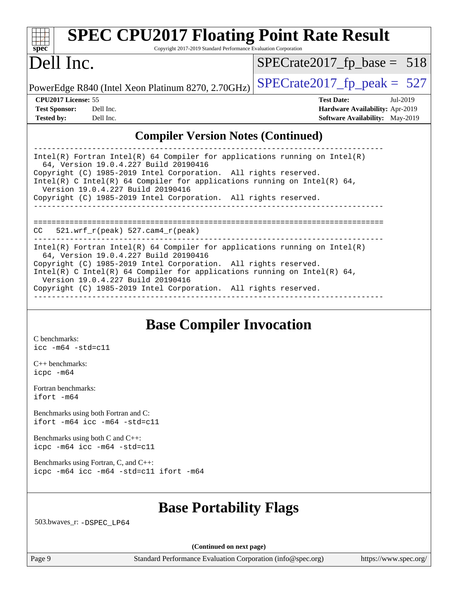| $Spec^*$                   |           | <b>SPEC CPU2017 Floating Point Rate Result</b><br>Copyright 2017-2019 Standard Performance Evaluation Corporation |                               |                                        |            |
|----------------------------|-----------|-------------------------------------------------------------------------------------------------------------------|-------------------------------|----------------------------------------|------------|
| Dell Inc.                  |           |                                                                                                                   | $SPECrate2017_fp\_base = 518$ |                                        |            |
|                            |           | PowerEdge R840 (Intel Xeon Platinum 8270, 2.70GHz)                                                                | $SPECrate2017_fp\_peak = 527$ |                                        |            |
| <b>CPU2017 License: 55</b> |           |                                                                                                                   |                               | <b>Test Date:</b>                      | $Ju1-2019$ |
| <b>Test Sponsor:</b>       | Dell Inc. |                                                                                                                   |                               | <b>Hardware Availability: Apr-2019</b> |            |
| <b>Tested by:</b>          | Dell Inc. |                                                                                                                   |                               | <b>Software Availability:</b> May-2019 |            |
|                            |           | <b>Compiler Version Notes (Continued)</b>                                                                         |                               |                                        |            |

| Intel(R) Fortran Intel(R) 64 Compiler for applications running on Intel(R)<br>64, Version 19.0.4.227 Build 20190416   |
|-----------------------------------------------------------------------------------------------------------------------|
| Copyright (C) 1985-2019 Intel Corporation. All rights reserved.                                                       |
| Intel(R) C Intel(R) 64 Compiler for applications running on Intel(R) 64,<br>Version 19.0.4.227 Build 20190416         |
| Copyright (C) 1985-2019 Intel Corporation. All rights reserved.                                                       |
|                                                                                                                       |
|                                                                                                                       |
| 521.wrf r(peak) 527.cam4 r(peak)<br>CC.                                                                               |
| $Intel(R)$ Fortran Intel(R) 64 Compiler for applications running on Intel(R)<br>64, Version 19.0.4.227 Build 20190416 |
| Copyright (C) 1985-2019 Intel Corporation. All rights reserved.                                                       |
| Intel(R) C Intel(R) 64 Compiler for applications running on Intel(R) 64,<br>Version 19.0.4.227 Build 20190416         |
| Copyright (C) 1985-2019 Intel Corporation. All rights reserved.                                                       |

## **[Base Compiler Invocation](http://www.spec.org/auto/cpu2017/Docs/result-fields.html#BaseCompilerInvocation)**

[C benchmarks](http://www.spec.org/auto/cpu2017/Docs/result-fields.html#Cbenchmarks): [icc -m64 -std=c11](http://www.spec.org/cpu2017/results/res2019q3/cpu2017-20190722-16281.flags.html#user_CCbase_intel_icc_64bit_c11_33ee0cdaae7deeeab2a9725423ba97205ce30f63b9926c2519791662299b76a0318f32ddfffdc46587804de3178b4f9328c46fa7c2b0cd779d7a61945c91cd35)

[C++ benchmarks:](http://www.spec.org/auto/cpu2017/Docs/result-fields.html#CXXbenchmarks) [icpc -m64](http://www.spec.org/cpu2017/results/res2019q3/cpu2017-20190722-16281.flags.html#user_CXXbase_intel_icpc_64bit_4ecb2543ae3f1412ef961e0650ca070fec7b7afdcd6ed48761b84423119d1bf6bdf5cad15b44d48e7256388bc77273b966e5eb805aefd121eb22e9299b2ec9d9)

[Fortran benchmarks](http://www.spec.org/auto/cpu2017/Docs/result-fields.html#Fortranbenchmarks): [ifort -m64](http://www.spec.org/cpu2017/results/res2019q3/cpu2017-20190722-16281.flags.html#user_FCbase_intel_ifort_64bit_24f2bb282fbaeffd6157abe4f878425411749daecae9a33200eee2bee2fe76f3b89351d69a8130dd5949958ce389cf37ff59a95e7a40d588e8d3a57e0c3fd751)

[Benchmarks using both Fortran and C](http://www.spec.org/auto/cpu2017/Docs/result-fields.html#BenchmarksusingbothFortranandC): [ifort -m64](http://www.spec.org/cpu2017/results/res2019q3/cpu2017-20190722-16281.flags.html#user_CC_FCbase_intel_ifort_64bit_24f2bb282fbaeffd6157abe4f878425411749daecae9a33200eee2bee2fe76f3b89351d69a8130dd5949958ce389cf37ff59a95e7a40d588e8d3a57e0c3fd751) [icc -m64 -std=c11](http://www.spec.org/cpu2017/results/res2019q3/cpu2017-20190722-16281.flags.html#user_CC_FCbase_intel_icc_64bit_c11_33ee0cdaae7deeeab2a9725423ba97205ce30f63b9926c2519791662299b76a0318f32ddfffdc46587804de3178b4f9328c46fa7c2b0cd779d7a61945c91cd35)

[Benchmarks using both C and C++](http://www.spec.org/auto/cpu2017/Docs/result-fields.html#BenchmarksusingbothCandCXX): [icpc -m64](http://www.spec.org/cpu2017/results/res2019q3/cpu2017-20190722-16281.flags.html#user_CC_CXXbase_intel_icpc_64bit_4ecb2543ae3f1412ef961e0650ca070fec7b7afdcd6ed48761b84423119d1bf6bdf5cad15b44d48e7256388bc77273b966e5eb805aefd121eb22e9299b2ec9d9) [icc -m64 -std=c11](http://www.spec.org/cpu2017/results/res2019q3/cpu2017-20190722-16281.flags.html#user_CC_CXXbase_intel_icc_64bit_c11_33ee0cdaae7deeeab2a9725423ba97205ce30f63b9926c2519791662299b76a0318f32ddfffdc46587804de3178b4f9328c46fa7c2b0cd779d7a61945c91cd35)

[Benchmarks using Fortran, C, and C++:](http://www.spec.org/auto/cpu2017/Docs/result-fields.html#BenchmarksusingFortranCandCXX) [icpc -m64](http://www.spec.org/cpu2017/results/res2019q3/cpu2017-20190722-16281.flags.html#user_CC_CXX_FCbase_intel_icpc_64bit_4ecb2543ae3f1412ef961e0650ca070fec7b7afdcd6ed48761b84423119d1bf6bdf5cad15b44d48e7256388bc77273b966e5eb805aefd121eb22e9299b2ec9d9) [icc -m64 -std=c11](http://www.spec.org/cpu2017/results/res2019q3/cpu2017-20190722-16281.flags.html#user_CC_CXX_FCbase_intel_icc_64bit_c11_33ee0cdaae7deeeab2a9725423ba97205ce30f63b9926c2519791662299b76a0318f32ddfffdc46587804de3178b4f9328c46fa7c2b0cd779d7a61945c91cd35) [ifort -m64](http://www.spec.org/cpu2017/results/res2019q3/cpu2017-20190722-16281.flags.html#user_CC_CXX_FCbase_intel_ifort_64bit_24f2bb282fbaeffd6157abe4f878425411749daecae9a33200eee2bee2fe76f3b89351d69a8130dd5949958ce389cf37ff59a95e7a40d588e8d3a57e0c3fd751)

#### **[Base Portability Flags](http://www.spec.org/auto/cpu2017/Docs/result-fields.html#BasePortabilityFlags)**

503.bwaves\_r: [-DSPEC\\_LP64](http://www.spec.org/cpu2017/results/res2019q3/cpu2017-20190722-16281.flags.html#suite_basePORTABILITY503_bwaves_r_DSPEC_LP64)

**(Continued on next page)**

Page 9 Standard Performance Evaluation Corporation [\(info@spec.org\)](mailto:info@spec.org) <https://www.spec.org/>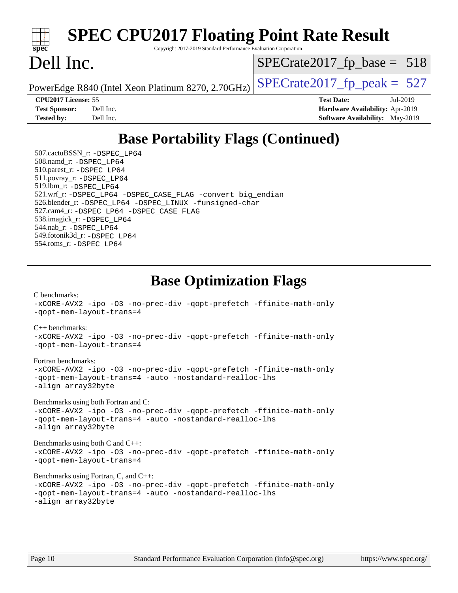| <b>SPEC CPU2017 Floating Point Rate Result</b>                                                |                                        |  |  |  |  |  |
|-----------------------------------------------------------------------------------------------|----------------------------------------|--|--|--|--|--|
| $\overline{\text{spec}^*}$<br>Copyright 2017-2019 Standard Performance Evaluation Corporation |                                        |  |  |  |  |  |
|                                                                                               |                                        |  |  |  |  |  |
| Dell Inc.                                                                                     | $SPECrate2017_fp\_base = 518$          |  |  |  |  |  |
| PowerEdge R840 (Intel Xeon Platinum 8270, 2.70GHz)                                            | $SPECTate2017$ _fp_peak = 527          |  |  |  |  |  |
| <b>CPU2017 License: 55</b>                                                                    | <b>Test Date:</b><br>Jul-2019          |  |  |  |  |  |
| Dell Inc.<br><b>Test Sponsor:</b>                                                             | Hardware Availability: Apr-2019        |  |  |  |  |  |
| <b>Tested by:</b><br>Dell Inc.                                                                | <b>Software Availability:</b> May-2019 |  |  |  |  |  |
| <b>Base Portability Flags (Continued)</b>                                                     |                                        |  |  |  |  |  |
| 507.cactuBSSN_r: -DSPEC LP64                                                                  |                                        |  |  |  |  |  |
| 508.namd_r: -DSPEC LP64                                                                       |                                        |  |  |  |  |  |
| 510.parest_r: -DSPEC_LP64                                                                     |                                        |  |  |  |  |  |
| 511.povray_r: -DSPEC LP64                                                                     |                                        |  |  |  |  |  |
| 519.1bm_r: -DSPEC LP64                                                                        |                                        |  |  |  |  |  |
| 521.wrf_r: -DSPEC_LP64 -DSPEC_CASE_FLAG -convert big_endian                                   |                                        |  |  |  |  |  |
| 526.blender_r: -DSPEC_LP64 -DSPEC_LINUX -funsigned-char                                       |                                        |  |  |  |  |  |
| 527.cam4_r: -DSPEC_LP64 -DSPEC_CASE_FLAG                                                      |                                        |  |  |  |  |  |
| 538.imagick_r: -DSPEC_LP64<br>544.nab_r: -DSPEC LP64                                          |                                        |  |  |  |  |  |
| 549.fotonik3d_r: -DSPEC LP64                                                                  |                                        |  |  |  |  |  |

```
Base Optimization Flags
```
[-xCORE-AVX2](http://www.spec.org/cpu2017/results/res2019q3/cpu2017-20190722-16281.flags.html#user_CCbase_f-xCORE-AVX2) [-ipo](http://www.spec.org/cpu2017/results/res2019q3/cpu2017-20190722-16281.flags.html#user_CCbase_f-ipo) [-O3](http://www.spec.org/cpu2017/results/res2019q3/cpu2017-20190722-16281.flags.html#user_CCbase_f-O3) [-no-prec-div](http://www.spec.org/cpu2017/results/res2019q3/cpu2017-20190722-16281.flags.html#user_CCbase_f-no-prec-div) [-qopt-prefetch](http://www.spec.org/cpu2017/results/res2019q3/cpu2017-20190722-16281.flags.html#user_CCbase_f-qopt-prefetch) [-ffinite-math-only](http://www.spec.org/cpu2017/results/res2019q3/cpu2017-20190722-16281.flags.html#user_CCbase_f_finite_math_only_cb91587bd2077682c4b38af759c288ed7c732db004271a9512da14a4f8007909a5f1427ecbf1a0fb78ff2a814402c6114ac565ca162485bbcae155b5e4258871) [-qopt-mem-layout-trans=4](http://www.spec.org/cpu2017/results/res2019q3/cpu2017-20190722-16281.flags.html#user_CCbase_f-qopt-mem-layout-trans_fa39e755916c150a61361b7846f310bcdf6f04e385ef281cadf3647acec3f0ae266d1a1d22d972a7087a248fd4e6ca390a3634700869573d231a252c784941a8) [C++ benchmarks:](http://www.spec.org/auto/cpu2017/Docs/result-fields.html#CXXbenchmarks) [-xCORE-AVX2](http://www.spec.org/cpu2017/results/res2019q3/cpu2017-20190722-16281.flags.html#user_CXXbase_f-xCORE-AVX2) [-ipo](http://www.spec.org/cpu2017/results/res2019q3/cpu2017-20190722-16281.flags.html#user_CXXbase_f-ipo) [-O3](http://www.spec.org/cpu2017/results/res2019q3/cpu2017-20190722-16281.flags.html#user_CXXbase_f-O3) [-no-prec-div](http://www.spec.org/cpu2017/results/res2019q3/cpu2017-20190722-16281.flags.html#user_CXXbase_f-no-prec-div) [-qopt-prefetch](http://www.spec.org/cpu2017/results/res2019q3/cpu2017-20190722-16281.flags.html#user_CXXbase_f-qopt-prefetch) [-ffinite-math-only](http://www.spec.org/cpu2017/results/res2019q3/cpu2017-20190722-16281.flags.html#user_CXXbase_f_finite_math_only_cb91587bd2077682c4b38af759c288ed7c732db004271a9512da14a4f8007909a5f1427ecbf1a0fb78ff2a814402c6114ac565ca162485bbcae155b5e4258871) [-qopt-mem-layout-trans=4](http://www.spec.org/cpu2017/results/res2019q3/cpu2017-20190722-16281.flags.html#user_CXXbase_f-qopt-mem-layout-trans_fa39e755916c150a61361b7846f310bcdf6f04e385ef281cadf3647acec3f0ae266d1a1d22d972a7087a248fd4e6ca390a3634700869573d231a252c784941a8) [Fortran benchmarks](http://www.spec.org/auto/cpu2017/Docs/result-fields.html#Fortranbenchmarks): [-xCORE-AVX2](http://www.spec.org/cpu2017/results/res2019q3/cpu2017-20190722-16281.flags.html#user_FCbase_f-xCORE-AVX2) [-ipo](http://www.spec.org/cpu2017/results/res2019q3/cpu2017-20190722-16281.flags.html#user_FCbase_f-ipo) [-O3](http://www.spec.org/cpu2017/results/res2019q3/cpu2017-20190722-16281.flags.html#user_FCbase_f-O3) [-no-prec-div](http://www.spec.org/cpu2017/results/res2019q3/cpu2017-20190722-16281.flags.html#user_FCbase_f-no-prec-div) [-qopt-prefetch](http://www.spec.org/cpu2017/results/res2019q3/cpu2017-20190722-16281.flags.html#user_FCbase_f-qopt-prefetch) [-ffinite-math-only](http://www.spec.org/cpu2017/results/res2019q3/cpu2017-20190722-16281.flags.html#user_FCbase_f_finite_math_only_cb91587bd2077682c4b38af759c288ed7c732db004271a9512da14a4f8007909a5f1427ecbf1a0fb78ff2a814402c6114ac565ca162485bbcae155b5e4258871) [-qopt-mem-layout-trans=4](http://www.spec.org/cpu2017/results/res2019q3/cpu2017-20190722-16281.flags.html#user_FCbase_f-qopt-mem-layout-trans_fa39e755916c150a61361b7846f310bcdf6f04e385ef281cadf3647acec3f0ae266d1a1d22d972a7087a248fd4e6ca390a3634700869573d231a252c784941a8) [-auto](http://www.spec.org/cpu2017/results/res2019q3/cpu2017-20190722-16281.flags.html#user_FCbase_f-auto) [-nostandard-realloc-lhs](http://www.spec.org/cpu2017/results/res2019q3/cpu2017-20190722-16281.flags.html#user_FCbase_f_2003_std_realloc_82b4557e90729c0f113870c07e44d33d6f5a304b4f63d4c15d2d0f1fab99f5daaed73bdb9275d9ae411527f28b936061aa8b9c8f2d63842963b95c9dd6426b8a) [-align array32byte](http://www.spec.org/cpu2017/results/res2019q3/cpu2017-20190722-16281.flags.html#user_FCbase_align_array32byte_b982fe038af199962ba9a80c053b8342c548c85b40b8e86eb3cc33dee0d7986a4af373ac2d51c3f7cf710a18d62fdce2948f201cd044323541f22fc0fffc51b6) [Benchmarks using both Fortran and C](http://www.spec.org/auto/cpu2017/Docs/result-fields.html#BenchmarksusingbothFortranandC): [-xCORE-AVX2](http://www.spec.org/cpu2017/results/res2019q3/cpu2017-20190722-16281.flags.html#user_CC_FCbase_f-xCORE-AVX2) [-ipo](http://www.spec.org/cpu2017/results/res2019q3/cpu2017-20190722-16281.flags.html#user_CC_FCbase_f-ipo) [-O3](http://www.spec.org/cpu2017/results/res2019q3/cpu2017-20190722-16281.flags.html#user_CC_FCbase_f-O3) [-no-prec-div](http://www.spec.org/cpu2017/results/res2019q3/cpu2017-20190722-16281.flags.html#user_CC_FCbase_f-no-prec-div) [-qopt-prefetch](http://www.spec.org/cpu2017/results/res2019q3/cpu2017-20190722-16281.flags.html#user_CC_FCbase_f-qopt-prefetch) [-ffinite-math-only](http://www.spec.org/cpu2017/results/res2019q3/cpu2017-20190722-16281.flags.html#user_CC_FCbase_f_finite_math_only_cb91587bd2077682c4b38af759c288ed7c732db004271a9512da14a4f8007909a5f1427ecbf1a0fb78ff2a814402c6114ac565ca162485bbcae155b5e4258871) [-qopt-mem-layout-trans=4](http://www.spec.org/cpu2017/results/res2019q3/cpu2017-20190722-16281.flags.html#user_CC_FCbase_f-qopt-mem-layout-trans_fa39e755916c150a61361b7846f310bcdf6f04e385ef281cadf3647acec3f0ae266d1a1d22d972a7087a248fd4e6ca390a3634700869573d231a252c784941a8) [-auto](http://www.spec.org/cpu2017/results/res2019q3/cpu2017-20190722-16281.flags.html#user_CC_FCbase_f-auto) [-nostandard-realloc-lhs](http://www.spec.org/cpu2017/results/res2019q3/cpu2017-20190722-16281.flags.html#user_CC_FCbase_f_2003_std_realloc_82b4557e90729c0f113870c07e44d33d6f5a304b4f63d4c15d2d0f1fab99f5daaed73bdb9275d9ae411527f28b936061aa8b9c8f2d63842963b95c9dd6426b8a) [-align array32byte](http://www.spec.org/cpu2017/results/res2019q3/cpu2017-20190722-16281.flags.html#user_CC_FCbase_align_array32byte_b982fe038af199962ba9a80c053b8342c548c85b40b8e86eb3cc33dee0d7986a4af373ac2d51c3f7cf710a18d62fdce2948f201cd044323541f22fc0fffc51b6) [Benchmarks using both C and C++](http://www.spec.org/auto/cpu2017/Docs/result-fields.html#BenchmarksusingbothCandCXX): [-xCORE-AVX2](http://www.spec.org/cpu2017/results/res2019q3/cpu2017-20190722-16281.flags.html#user_CC_CXXbase_f-xCORE-AVX2) [-ipo](http://www.spec.org/cpu2017/results/res2019q3/cpu2017-20190722-16281.flags.html#user_CC_CXXbase_f-ipo) [-O3](http://www.spec.org/cpu2017/results/res2019q3/cpu2017-20190722-16281.flags.html#user_CC_CXXbase_f-O3) [-no-prec-div](http://www.spec.org/cpu2017/results/res2019q3/cpu2017-20190722-16281.flags.html#user_CC_CXXbase_f-no-prec-div) [-qopt-prefetch](http://www.spec.org/cpu2017/results/res2019q3/cpu2017-20190722-16281.flags.html#user_CC_CXXbase_f-qopt-prefetch) [-ffinite-math-only](http://www.spec.org/cpu2017/results/res2019q3/cpu2017-20190722-16281.flags.html#user_CC_CXXbase_f_finite_math_only_cb91587bd2077682c4b38af759c288ed7c732db004271a9512da14a4f8007909a5f1427ecbf1a0fb78ff2a814402c6114ac565ca162485bbcae155b5e4258871) [-qopt-mem-layout-trans=4](http://www.spec.org/cpu2017/results/res2019q3/cpu2017-20190722-16281.flags.html#user_CC_CXXbase_f-qopt-mem-layout-trans_fa39e755916c150a61361b7846f310bcdf6f04e385ef281cadf3647acec3f0ae266d1a1d22d972a7087a248fd4e6ca390a3634700869573d231a252c784941a8) [Benchmarks using Fortran, C, and C++:](http://www.spec.org/auto/cpu2017/Docs/result-fields.html#BenchmarksusingFortranCandCXX) [-xCORE-AVX2](http://www.spec.org/cpu2017/results/res2019q3/cpu2017-20190722-16281.flags.html#user_CC_CXX_FCbase_f-xCORE-AVX2) [-ipo](http://www.spec.org/cpu2017/results/res2019q3/cpu2017-20190722-16281.flags.html#user_CC_CXX_FCbase_f-ipo) [-O3](http://www.spec.org/cpu2017/results/res2019q3/cpu2017-20190722-16281.flags.html#user_CC_CXX_FCbase_f-O3) [-no-prec-div](http://www.spec.org/cpu2017/results/res2019q3/cpu2017-20190722-16281.flags.html#user_CC_CXX_FCbase_f-no-prec-div) [-qopt-prefetch](http://www.spec.org/cpu2017/results/res2019q3/cpu2017-20190722-16281.flags.html#user_CC_CXX_FCbase_f-qopt-prefetch) [-ffinite-math-only](http://www.spec.org/cpu2017/results/res2019q3/cpu2017-20190722-16281.flags.html#user_CC_CXX_FCbase_f_finite_math_only_cb91587bd2077682c4b38af759c288ed7c732db004271a9512da14a4f8007909a5f1427ecbf1a0fb78ff2a814402c6114ac565ca162485bbcae155b5e4258871) [-qopt-mem-layout-trans=4](http://www.spec.org/cpu2017/results/res2019q3/cpu2017-20190722-16281.flags.html#user_CC_CXX_FCbase_f-qopt-mem-layout-trans_fa39e755916c150a61361b7846f310bcdf6f04e385ef281cadf3647acec3f0ae266d1a1d22d972a7087a248fd4e6ca390a3634700869573d231a252c784941a8) [-auto](http://www.spec.org/cpu2017/results/res2019q3/cpu2017-20190722-16281.flags.html#user_CC_CXX_FCbase_f-auto) [-nostandard-realloc-lhs](http://www.spec.org/cpu2017/results/res2019q3/cpu2017-20190722-16281.flags.html#user_CC_CXX_FCbase_f_2003_std_realloc_82b4557e90729c0f113870c07e44d33d6f5a304b4f63d4c15d2d0f1fab99f5daaed73bdb9275d9ae411527f28b936061aa8b9c8f2d63842963b95c9dd6426b8a) [-align array32byte](http://www.spec.org/cpu2017/results/res2019q3/cpu2017-20190722-16281.flags.html#user_CC_CXX_FCbase_align_array32byte_b982fe038af199962ba9a80c053b8342c548c85b40b8e86eb3cc33dee0d7986a4af373ac2d51c3f7cf710a18d62fdce2948f201cd044323541f22fc0fffc51b6)

554.roms\_r: [-DSPEC\\_LP64](http://www.spec.org/cpu2017/results/res2019q3/cpu2017-20190722-16281.flags.html#suite_basePORTABILITY554_roms_r_DSPEC_LP64)

[C benchmarks](http://www.spec.org/auto/cpu2017/Docs/result-fields.html#Cbenchmarks):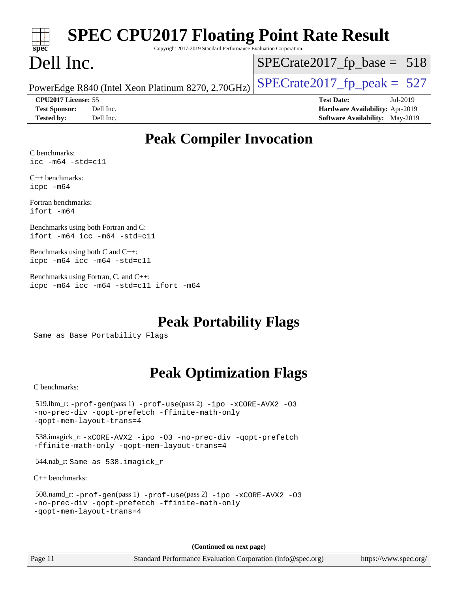| <b>SPEC CPU2017 Floating Point Rate Result</b><br>Copyright 2017-2019 Standard Performance Evaluation Corporation<br>spec <sup>®</sup>               |                                                                                                     |  |  |
|------------------------------------------------------------------------------------------------------------------------------------------------------|-----------------------------------------------------------------------------------------------------|--|--|
| Dell Inc.                                                                                                                                            | $SPECTate2017$ _fp_base = 518                                                                       |  |  |
| PowerEdge R840 (Intel Xeon Platinum 8270, 2.70GHz)                                                                                                   | $SPECrate2017_fp\_peak = 527$                                                                       |  |  |
| CPU2017 License: 55<br>Dell Inc.<br><b>Test Sponsor:</b><br>Dell Inc.<br><b>Tested by:</b>                                                           | <b>Test Date:</b><br>Jul-2019<br>Hardware Availability: Apr-2019<br>Software Availability: May-2019 |  |  |
| <b>Peak Compiler Invocation</b>                                                                                                                      |                                                                                                     |  |  |
| C benchmarks:<br>$\text{icc}$ -m64 -std=c11                                                                                                          |                                                                                                     |  |  |
| $C_{++}$ benchmarks:<br>icpc -m64                                                                                                                    |                                                                                                     |  |  |
| Fortran benchmarks:<br>ifort -m64                                                                                                                    |                                                                                                     |  |  |
| Benchmarks using both Fortran and C:<br>ifort -m64 icc -m64 -std=c11                                                                                 |                                                                                                     |  |  |
| Benchmarks using both C and C++:<br>icpc -m64 icc -m64 -std=c11                                                                                      |                                                                                                     |  |  |
| Benchmarks using Fortran, C, and C++:<br>icpc -m64 icc -m64 -std=c11 ifort -m64                                                                      |                                                                                                     |  |  |
| <b>Peak Portability Flags</b><br>Same as Base Portability Flags                                                                                      |                                                                                                     |  |  |
| <b>Peak Optimization Flags</b>                                                                                                                       |                                                                                                     |  |  |
| C benchmarks:                                                                                                                                        |                                                                                                     |  |  |
| $519$ .lbm_r: -prof-gen(pass 1) -prof-use(pass 2) -ipo -xCORE-AVX2 -03<br>-no-prec-div -qopt-prefetch -ffinite-math-only<br>-gopt-mem-layout-trans=4 |                                                                                                     |  |  |
| 538.imagick_r: -xCORE-AVX2 -ipo -03 -no-prec-div -qopt-prefetch<br>-ffinite-math-only -qopt-mem-layout-trans=4                                       |                                                                                                     |  |  |
| 544.nab_r: Same as 538.imagick_r                                                                                                                     |                                                                                                     |  |  |
| $C++$ benchmarks:                                                                                                                                    |                                                                                                     |  |  |
| 508.namd_r: -prof-gen(pass 1) -prof-use(pass 2) -ipo -xCORE-AVX2 -03<br>-no-prec-div -qopt-prefetch -ffinite-math-only<br>-gopt-mem-layout-trans=4   |                                                                                                     |  |  |

**(Continued on next page)**

Page 11 Standard Performance Evaluation Corporation [\(info@spec.org\)](mailto:info@spec.org) <https://www.spec.org/>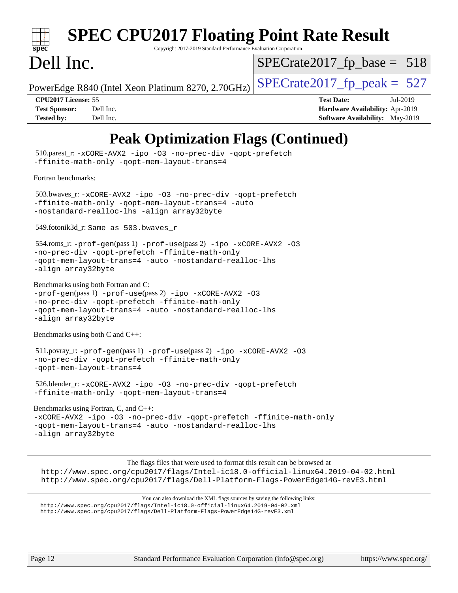| spec |  |  |  |  |  |
|------|--|--|--|--|--|

# **[SPEC CPU2017 Floating Point Rate Result](http://www.spec.org/auto/cpu2017/Docs/result-fields.html#SPECCPU2017FloatingPointRateResult)**

Copyright 2017-2019 Standard Performance Evaluation Corporation

# Dell Inc.

 $SPECTate2017_fp\_base = 518$ 

PowerEdge R840 (Intel Xeon Platinum 8270, 2.70GHz)  $\left|$  [SPECrate2017\\_fp\\_peak =](http://www.spec.org/auto/cpu2017/Docs/result-fields.html#SPECrate2017fppeak) 527

**[CPU2017 License:](http://www.spec.org/auto/cpu2017/Docs/result-fields.html#CPU2017License)** 55 **[Test Date:](http://www.spec.org/auto/cpu2017/Docs/result-fields.html#TestDate)** Jul-2019 **[Test Sponsor:](http://www.spec.org/auto/cpu2017/Docs/result-fields.html#TestSponsor)** Dell Inc. **[Hardware Availability:](http://www.spec.org/auto/cpu2017/Docs/result-fields.html#HardwareAvailability)** Apr-2019 **[Tested by:](http://www.spec.org/auto/cpu2017/Docs/result-fields.html#Testedby)** Dell Inc. Dell Inc. **[Software Availability:](http://www.spec.org/auto/cpu2017/Docs/result-fields.html#SoftwareAvailability)** May-2019

## **[Peak Optimization Flags \(Continued\)](http://www.spec.org/auto/cpu2017/Docs/result-fields.html#PeakOptimizationFlags)**

 510.parest\_r: [-xCORE-AVX2](http://www.spec.org/cpu2017/results/res2019q3/cpu2017-20190722-16281.flags.html#user_peakCXXOPTIMIZE510_parest_r_f-xCORE-AVX2) [-ipo](http://www.spec.org/cpu2017/results/res2019q3/cpu2017-20190722-16281.flags.html#user_peakCXXOPTIMIZE510_parest_r_f-ipo) [-O3](http://www.spec.org/cpu2017/results/res2019q3/cpu2017-20190722-16281.flags.html#user_peakCXXOPTIMIZE510_parest_r_f-O3) [-no-prec-div](http://www.spec.org/cpu2017/results/res2019q3/cpu2017-20190722-16281.flags.html#user_peakCXXOPTIMIZE510_parest_r_f-no-prec-div) [-qopt-prefetch](http://www.spec.org/cpu2017/results/res2019q3/cpu2017-20190722-16281.flags.html#user_peakCXXOPTIMIZE510_parest_r_f-qopt-prefetch) [-ffinite-math-only](http://www.spec.org/cpu2017/results/res2019q3/cpu2017-20190722-16281.flags.html#user_peakCXXOPTIMIZE510_parest_r_f_finite_math_only_cb91587bd2077682c4b38af759c288ed7c732db004271a9512da14a4f8007909a5f1427ecbf1a0fb78ff2a814402c6114ac565ca162485bbcae155b5e4258871) [-qopt-mem-layout-trans=4](http://www.spec.org/cpu2017/results/res2019q3/cpu2017-20190722-16281.flags.html#user_peakCXXOPTIMIZE510_parest_r_f-qopt-mem-layout-trans_fa39e755916c150a61361b7846f310bcdf6f04e385ef281cadf3647acec3f0ae266d1a1d22d972a7087a248fd4e6ca390a3634700869573d231a252c784941a8) [Fortran benchmarks](http://www.spec.org/auto/cpu2017/Docs/result-fields.html#Fortranbenchmarks): 503.bwaves\_r: [-xCORE-AVX2](http://www.spec.org/cpu2017/results/res2019q3/cpu2017-20190722-16281.flags.html#user_peakFOPTIMIZE503_bwaves_r_f-xCORE-AVX2) [-ipo](http://www.spec.org/cpu2017/results/res2019q3/cpu2017-20190722-16281.flags.html#user_peakFOPTIMIZE503_bwaves_r_f-ipo) [-O3](http://www.spec.org/cpu2017/results/res2019q3/cpu2017-20190722-16281.flags.html#user_peakFOPTIMIZE503_bwaves_r_f-O3) [-no-prec-div](http://www.spec.org/cpu2017/results/res2019q3/cpu2017-20190722-16281.flags.html#user_peakFOPTIMIZE503_bwaves_r_f-no-prec-div) [-qopt-prefetch](http://www.spec.org/cpu2017/results/res2019q3/cpu2017-20190722-16281.flags.html#user_peakFOPTIMIZE503_bwaves_r_f-qopt-prefetch) [-ffinite-math-only](http://www.spec.org/cpu2017/results/res2019q3/cpu2017-20190722-16281.flags.html#user_peakFOPTIMIZE503_bwaves_r_f_finite_math_only_cb91587bd2077682c4b38af759c288ed7c732db004271a9512da14a4f8007909a5f1427ecbf1a0fb78ff2a814402c6114ac565ca162485bbcae155b5e4258871) [-qopt-mem-layout-trans=4](http://www.spec.org/cpu2017/results/res2019q3/cpu2017-20190722-16281.flags.html#user_peakFOPTIMIZE503_bwaves_r_f-qopt-mem-layout-trans_fa39e755916c150a61361b7846f310bcdf6f04e385ef281cadf3647acec3f0ae266d1a1d22d972a7087a248fd4e6ca390a3634700869573d231a252c784941a8) [-auto](http://www.spec.org/cpu2017/results/res2019q3/cpu2017-20190722-16281.flags.html#user_peakFOPTIMIZE503_bwaves_r_f-auto) [-nostandard-realloc-lhs](http://www.spec.org/cpu2017/results/res2019q3/cpu2017-20190722-16281.flags.html#user_peakEXTRA_FOPTIMIZE503_bwaves_r_f_2003_std_realloc_82b4557e90729c0f113870c07e44d33d6f5a304b4f63d4c15d2d0f1fab99f5daaed73bdb9275d9ae411527f28b936061aa8b9c8f2d63842963b95c9dd6426b8a) [-align array32byte](http://www.spec.org/cpu2017/results/res2019q3/cpu2017-20190722-16281.flags.html#user_peakEXTRA_FOPTIMIZE503_bwaves_r_align_array32byte_b982fe038af199962ba9a80c053b8342c548c85b40b8e86eb3cc33dee0d7986a4af373ac2d51c3f7cf710a18d62fdce2948f201cd044323541f22fc0fffc51b6) 549.fotonik3d\_r: Same as 503.bwaves\_r 554.roms\_r: [-prof-gen](http://www.spec.org/cpu2017/results/res2019q3/cpu2017-20190722-16281.flags.html#user_peakPASS1_FFLAGSPASS1_LDFLAGS554_roms_r_prof_gen_5aa4926d6013ddb2a31985c654b3eb18169fc0c6952a63635c234f711e6e63dd76e94ad52365559451ec499a2cdb89e4dc58ba4c67ef54ca681ffbe1461d6b36)(pass 1) [-prof-use](http://www.spec.org/cpu2017/results/res2019q3/cpu2017-20190722-16281.flags.html#user_peakPASS2_FFLAGSPASS2_LDFLAGS554_roms_r_prof_use_1a21ceae95f36a2b53c25747139a6c16ca95bd9def2a207b4f0849963b97e94f5260e30a0c64f4bb623698870e679ca08317ef8150905d41bd88c6f78df73f19)(pass 2) [-ipo](http://www.spec.org/cpu2017/results/res2019q3/cpu2017-20190722-16281.flags.html#user_peakPASS1_FOPTIMIZEPASS2_FOPTIMIZE554_roms_r_f-ipo) [-xCORE-AVX2](http://www.spec.org/cpu2017/results/res2019q3/cpu2017-20190722-16281.flags.html#user_peakPASS2_FOPTIMIZE554_roms_r_f-xCORE-AVX2) [-O3](http://www.spec.org/cpu2017/results/res2019q3/cpu2017-20190722-16281.flags.html#user_peakPASS1_FOPTIMIZEPASS2_FOPTIMIZE554_roms_r_f-O3) [-no-prec-div](http://www.spec.org/cpu2017/results/res2019q3/cpu2017-20190722-16281.flags.html#user_peakPASS1_FOPTIMIZEPASS2_FOPTIMIZE554_roms_r_f-no-prec-div) [-qopt-prefetch](http://www.spec.org/cpu2017/results/res2019q3/cpu2017-20190722-16281.flags.html#user_peakPASS1_FOPTIMIZEPASS2_FOPTIMIZE554_roms_r_f-qopt-prefetch) [-ffinite-math-only](http://www.spec.org/cpu2017/results/res2019q3/cpu2017-20190722-16281.flags.html#user_peakPASS1_FOPTIMIZEPASS2_FOPTIMIZE554_roms_r_f_finite_math_only_cb91587bd2077682c4b38af759c288ed7c732db004271a9512da14a4f8007909a5f1427ecbf1a0fb78ff2a814402c6114ac565ca162485bbcae155b5e4258871) [-qopt-mem-layout-trans=4](http://www.spec.org/cpu2017/results/res2019q3/cpu2017-20190722-16281.flags.html#user_peakPASS1_FOPTIMIZEPASS2_FOPTIMIZE554_roms_r_f-qopt-mem-layout-trans_fa39e755916c150a61361b7846f310bcdf6f04e385ef281cadf3647acec3f0ae266d1a1d22d972a7087a248fd4e6ca390a3634700869573d231a252c784941a8) [-auto](http://www.spec.org/cpu2017/results/res2019q3/cpu2017-20190722-16281.flags.html#user_peakPASS2_FOPTIMIZE554_roms_r_f-auto) [-nostandard-realloc-lhs](http://www.spec.org/cpu2017/results/res2019q3/cpu2017-20190722-16281.flags.html#user_peakEXTRA_FOPTIMIZE554_roms_r_f_2003_std_realloc_82b4557e90729c0f113870c07e44d33d6f5a304b4f63d4c15d2d0f1fab99f5daaed73bdb9275d9ae411527f28b936061aa8b9c8f2d63842963b95c9dd6426b8a) [-align array32byte](http://www.spec.org/cpu2017/results/res2019q3/cpu2017-20190722-16281.flags.html#user_peakEXTRA_FOPTIMIZE554_roms_r_align_array32byte_b982fe038af199962ba9a80c053b8342c548c85b40b8e86eb3cc33dee0d7986a4af373ac2d51c3f7cf710a18d62fdce2948f201cd044323541f22fc0fffc51b6) [Benchmarks using both Fortran and C](http://www.spec.org/auto/cpu2017/Docs/result-fields.html#BenchmarksusingbothFortranandC): [-prof-gen](http://www.spec.org/cpu2017/results/res2019q3/cpu2017-20190722-16281.flags.html#user_CC_FCpeak_prof_gen_5aa4926d6013ddb2a31985c654b3eb18169fc0c6952a63635c234f711e6e63dd76e94ad52365559451ec499a2cdb89e4dc58ba4c67ef54ca681ffbe1461d6b36)(pass 1) [-prof-use](http://www.spec.org/cpu2017/results/res2019q3/cpu2017-20190722-16281.flags.html#user_CC_FCpeak_prof_use_1a21ceae95f36a2b53c25747139a6c16ca95bd9def2a207b4f0849963b97e94f5260e30a0c64f4bb623698870e679ca08317ef8150905d41bd88c6f78df73f19)(pass 2) [-ipo](http://www.spec.org/cpu2017/results/res2019q3/cpu2017-20190722-16281.flags.html#user_CC_FCpeak_f-ipo) [-xCORE-AVX2](http://www.spec.org/cpu2017/results/res2019q3/cpu2017-20190722-16281.flags.html#user_CC_FCpeak_f-xCORE-AVX2) [-O3](http://www.spec.org/cpu2017/results/res2019q3/cpu2017-20190722-16281.flags.html#user_CC_FCpeak_f-O3) [-no-prec-div](http://www.spec.org/cpu2017/results/res2019q3/cpu2017-20190722-16281.flags.html#user_CC_FCpeak_f-no-prec-div) [-qopt-prefetch](http://www.spec.org/cpu2017/results/res2019q3/cpu2017-20190722-16281.flags.html#user_CC_FCpeak_f-qopt-prefetch) [-ffinite-math-only](http://www.spec.org/cpu2017/results/res2019q3/cpu2017-20190722-16281.flags.html#user_CC_FCpeak_f_finite_math_only_cb91587bd2077682c4b38af759c288ed7c732db004271a9512da14a4f8007909a5f1427ecbf1a0fb78ff2a814402c6114ac565ca162485bbcae155b5e4258871) [-qopt-mem-layout-trans=4](http://www.spec.org/cpu2017/results/res2019q3/cpu2017-20190722-16281.flags.html#user_CC_FCpeak_f-qopt-mem-layout-trans_fa39e755916c150a61361b7846f310bcdf6f04e385ef281cadf3647acec3f0ae266d1a1d22d972a7087a248fd4e6ca390a3634700869573d231a252c784941a8) [-auto](http://www.spec.org/cpu2017/results/res2019q3/cpu2017-20190722-16281.flags.html#user_CC_FCpeak_f-auto) [-nostandard-realloc-lhs](http://www.spec.org/cpu2017/results/res2019q3/cpu2017-20190722-16281.flags.html#user_CC_FCpeak_f_2003_std_realloc_82b4557e90729c0f113870c07e44d33d6f5a304b4f63d4c15d2d0f1fab99f5daaed73bdb9275d9ae411527f28b936061aa8b9c8f2d63842963b95c9dd6426b8a) [-align array32byte](http://www.spec.org/cpu2017/results/res2019q3/cpu2017-20190722-16281.flags.html#user_CC_FCpeak_align_array32byte_b982fe038af199962ba9a80c053b8342c548c85b40b8e86eb3cc33dee0d7986a4af373ac2d51c3f7cf710a18d62fdce2948f201cd044323541f22fc0fffc51b6) [Benchmarks using both C and C++](http://www.spec.org/auto/cpu2017/Docs/result-fields.html#BenchmarksusingbothCandCXX): 511.povray\_r: [-prof-gen](http://www.spec.org/cpu2017/results/res2019q3/cpu2017-20190722-16281.flags.html#user_peakPASS1_CFLAGSPASS1_CXXFLAGSPASS1_LDFLAGS511_povray_r_prof_gen_5aa4926d6013ddb2a31985c654b3eb18169fc0c6952a63635c234f711e6e63dd76e94ad52365559451ec499a2cdb89e4dc58ba4c67ef54ca681ffbe1461d6b36)(pass 1) [-prof-use](http://www.spec.org/cpu2017/results/res2019q3/cpu2017-20190722-16281.flags.html#user_peakPASS2_CFLAGSPASS2_CXXFLAGSPASS2_LDFLAGS511_povray_r_prof_use_1a21ceae95f36a2b53c25747139a6c16ca95bd9def2a207b4f0849963b97e94f5260e30a0c64f4bb623698870e679ca08317ef8150905d41bd88c6f78df73f19)(pass 2) [-ipo](http://www.spec.org/cpu2017/results/res2019q3/cpu2017-20190722-16281.flags.html#user_peakPASS1_COPTIMIZEPASS1_CXXOPTIMIZEPASS2_COPTIMIZEPASS2_CXXOPTIMIZE511_povray_r_f-ipo) [-xCORE-AVX2](http://www.spec.org/cpu2017/results/res2019q3/cpu2017-20190722-16281.flags.html#user_peakPASS2_COPTIMIZEPASS2_CXXOPTIMIZE511_povray_r_f-xCORE-AVX2) [-O3](http://www.spec.org/cpu2017/results/res2019q3/cpu2017-20190722-16281.flags.html#user_peakPASS1_COPTIMIZEPASS1_CXXOPTIMIZEPASS2_COPTIMIZEPASS2_CXXOPTIMIZE511_povray_r_f-O3) [-no-prec-div](http://www.spec.org/cpu2017/results/res2019q3/cpu2017-20190722-16281.flags.html#user_peakPASS1_COPTIMIZEPASS1_CXXOPTIMIZEPASS2_COPTIMIZEPASS2_CXXOPTIMIZE511_povray_r_f-no-prec-div) [-qopt-prefetch](http://www.spec.org/cpu2017/results/res2019q3/cpu2017-20190722-16281.flags.html#user_peakPASS1_COPTIMIZEPASS1_CXXOPTIMIZEPASS2_COPTIMIZEPASS2_CXXOPTIMIZE511_povray_r_f-qopt-prefetch) [-ffinite-math-only](http://www.spec.org/cpu2017/results/res2019q3/cpu2017-20190722-16281.flags.html#user_peakPASS1_COPTIMIZEPASS1_CXXOPTIMIZEPASS2_COPTIMIZEPASS2_CXXOPTIMIZE511_povray_r_f_finite_math_only_cb91587bd2077682c4b38af759c288ed7c732db004271a9512da14a4f8007909a5f1427ecbf1a0fb78ff2a814402c6114ac565ca162485bbcae155b5e4258871) [-qopt-mem-layout-trans=4](http://www.spec.org/cpu2017/results/res2019q3/cpu2017-20190722-16281.flags.html#user_peakPASS1_COPTIMIZEPASS1_CXXOPTIMIZEPASS2_COPTIMIZEPASS2_CXXOPTIMIZE511_povray_r_f-qopt-mem-layout-trans_fa39e755916c150a61361b7846f310bcdf6f04e385ef281cadf3647acec3f0ae266d1a1d22d972a7087a248fd4e6ca390a3634700869573d231a252c784941a8) 526.blender\_r: [-xCORE-AVX2](http://www.spec.org/cpu2017/results/res2019q3/cpu2017-20190722-16281.flags.html#user_peakCOPTIMIZECXXOPTIMIZE526_blender_r_f-xCORE-AVX2) [-ipo](http://www.spec.org/cpu2017/results/res2019q3/cpu2017-20190722-16281.flags.html#user_peakCOPTIMIZECXXOPTIMIZE526_blender_r_f-ipo) [-O3](http://www.spec.org/cpu2017/results/res2019q3/cpu2017-20190722-16281.flags.html#user_peakCOPTIMIZECXXOPTIMIZE526_blender_r_f-O3) [-no-prec-div](http://www.spec.org/cpu2017/results/res2019q3/cpu2017-20190722-16281.flags.html#user_peakCOPTIMIZECXXOPTIMIZE526_blender_r_f-no-prec-div) [-qopt-prefetch](http://www.spec.org/cpu2017/results/res2019q3/cpu2017-20190722-16281.flags.html#user_peakCOPTIMIZECXXOPTIMIZE526_blender_r_f-qopt-prefetch) [-ffinite-math-only](http://www.spec.org/cpu2017/results/res2019q3/cpu2017-20190722-16281.flags.html#user_peakCOPTIMIZECXXOPTIMIZE526_blender_r_f_finite_math_only_cb91587bd2077682c4b38af759c288ed7c732db004271a9512da14a4f8007909a5f1427ecbf1a0fb78ff2a814402c6114ac565ca162485bbcae155b5e4258871) [-qopt-mem-layout-trans=4](http://www.spec.org/cpu2017/results/res2019q3/cpu2017-20190722-16281.flags.html#user_peakCOPTIMIZECXXOPTIMIZE526_blender_r_f-qopt-mem-layout-trans_fa39e755916c150a61361b7846f310bcdf6f04e385ef281cadf3647acec3f0ae266d1a1d22d972a7087a248fd4e6ca390a3634700869573d231a252c784941a8) [Benchmarks using Fortran, C, and C++:](http://www.spec.org/auto/cpu2017/Docs/result-fields.html#BenchmarksusingFortranCandCXX) [-xCORE-AVX2](http://www.spec.org/cpu2017/results/res2019q3/cpu2017-20190722-16281.flags.html#user_CC_CXX_FCpeak_f-xCORE-AVX2) [-ipo](http://www.spec.org/cpu2017/results/res2019q3/cpu2017-20190722-16281.flags.html#user_CC_CXX_FCpeak_f-ipo) [-O3](http://www.spec.org/cpu2017/results/res2019q3/cpu2017-20190722-16281.flags.html#user_CC_CXX_FCpeak_f-O3) [-no-prec-div](http://www.spec.org/cpu2017/results/res2019q3/cpu2017-20190722-16281.flags.html#user_CC_CXX_FCpeak_f-no-prec-div) [-qopt-prefetch](http://www.spec.org/cpu2017/results/res2019q3/cpu2017-20190722-16281.flags.html#user_CC_CXX_FCpeak_f-qopt-prefetch) [-ffinite-math-only](http://www.spec.org/cpu2017/results/res2019q3/cpu2017-20190722-16281.flags.html#user_CC_CXX_FCpeak_f_finite_math_only_cb91587bd2077682c4b38af759c288ed7c732db004271a9512da14a4f8007909a5f1427ecbf1a0fb78ff2a814402c6114ac565ca162485bbcae155b5e4258871) [-qopt-mem-layout-trans=4](http://www.spec.org/cpu2017/results/res2019q3/cpu2017-20190722-16281.flags.html#user_CC_CXX_FCpeak_f-qopt-mem-layout-trans_fa39e755916c150a61361b7846f310bcdf6f04e385ef281cadf3647acec3f0ae266d1a1d22d972a7087a248fd4e6ca390a3634700869573d231a252c784941a8) [-auto](http://www.spec.org/cpu2017/results/res2019q3/cpu2017-20190722-16281.flags.html#user_CC_CXX_FCpeak_f-auto) [-nostandard-realloc-lhs](http://www.spec.org/cpu2017/results/res2019q3/cpu2017-20190722-16281.flags.html#user_CC_CXX_FCpeak_f_2003_std_realloc_82b4557e90729c0f113870c07e44d33d6f5a304b4f63d4c15d2d0f1fab99f5daaed73bdb9275d9ae411527f28b936061aa8b9c8f2d63842963b95c9dd6426b8a) [-align array32byte](http://www.spec.org/cpu2017/results/res2019q3/cpu2017-20190722-16281.flags.html#user_CC_CXX_FCpeak_align_array32byte_b982fe038af199962ba9a80c053b8342c548c85b40b8e86eb3cc33dee0d7986a4af373ac2d51c3f7cf710a18d62fdce2948f201cd044323541f22fc0fffc51b6) The flags files that were used to format this result can be browsed at <http://www.spec.org/cpu2017/flags/Intel-ic18.0-official-linux64.2019-04-02.html> <http://www.spec.org/cpu2017/flags/Dell-Platform-Flags-PowerEdge14G-revE3.html> You can also download the XML flags sources by saving the following links: <http://www.spec.org/cpu2017/flags/Intel-ic18.0-official-linux64.2019-04-02.xml> <http://www.spec.org/cpu2017/flags/Dell-Platform-Flags-PowerEdge14G-revE3.xml>